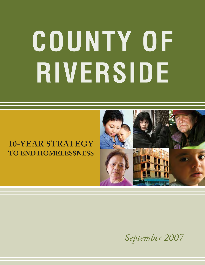# **RIVERSIDE COUNTY OF**

# **10-YEAR STRATEGY TO END HOMELESSNESS**



*September 2007*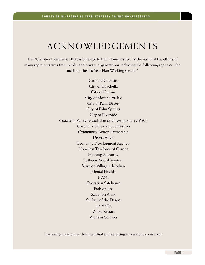# **ACKNOWLEDGEMENTS**

The "County of Riverside 10-Year Strategy to End Homelessness" is the result of the efforts of many representatives from public and private organizations including the following agencies who made up the "10 Year Plan Working Group:"

> Catholic Charities City of Coachella City of Corona City of Moreno Valley City of Palm Desert City of Palm Springs City of Riverside Coachella Valley Association of Governments (CVAG) Coachella Valley Rescue Mission Community Action Partnership Desert AIDS Economic Development Agency Homeless Taskforce of Corona Housing Authority Lutheran Social Services Martha's Village & Kitchen Mental Health NAMI Operation Safehouse Path of Life Salvation Army St. Paul of the Desert US VETS Valley Restart Veterans Services

If any organization has been omitted in this listing it was done so in error.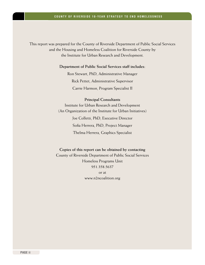#### **COUNTY OF RIVERSIDE 10-YEAR STRATEGY TO END HOMELESSNESS**

This report was prepared for the County of Riverside Department of Public Social Services and the Housing and Homeless Coalition for Riverside County by the Institute for Urban Research and Development.

#### **Department of Public Social Services staff includes:**

Ron Stewart, PhD, Administrative Manager Rick Pettet, Administrative Supervisor Carrie Harmon, Program Specialist II

## **Principal Consultants**

Institute for Urban Research and Development (An Organization of the Institute for Urban Initiatives) Joe Colletti, PhD, Executive Director Sofia Herrera, PhD, Project Manager Thelma Herrera, Graphics Specialist

#### **Copies of this report can be obtained by contacting**

County of Riverside Department of Public Social Services Homeless Programs Unit 951.358.5637 or at www.n2ncoalition.org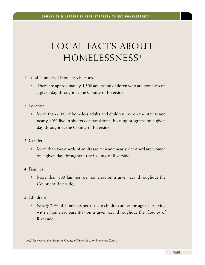# LOCAL FACTS ABOUT HOMELESSNESS<sup>1</sup>

- 1. Total Number of Homeless Persons:
	- There are approximately 4,500 adults and children who are homeless on a given day throughout the County of Riverside;
- 2. Location:
	- More than 60% of homeless adults and children live on the streets and nearly 40% live in shelters or transitional housing programs on a given day throughout the County of Riverside;
- 3. Gender:
	- More than two-thirds of adults are men and nearly one-third are women on a given day throughout the County of Riverside;
- 4. Families:
	- More than 300 families are homeless on a given day throughout the County of Riverside;
- 5. Children:
	- Nearly 20% of homeless persons are children under the age of 18 living with a homeless parent(s) on a given day throughout the County of Riverside.

<sup>1</sup>Local facts were taken from the County of Riverside 2007 Homeless Count.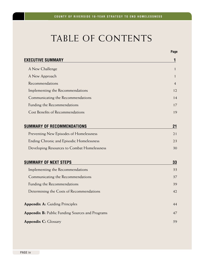**Page**

# TABLE OF CONTENTS

| <b>EXECUTIVE SUMMARY</b>                        | 1              |
|-------------------------------------------------|----------------|
| A New Challenge                                 | $\mathbf{1}$   |
| A New Approach                                  | 1              |
| Recommendations                                 | $\overline{4}$ |
| Implementing the Recommendations                | 12             |
| Communicating the Recommendations               | 14             |
| Funding the Recommendations                     | 17             |
| <b>Cost Benefits of Recommendations</b>         | 19             |
| <b>SUMMARY OF RECOMMENDATIONS</b>               | 21             |
| Preventing New Episodes of Homelessness         | 21             |
| <b>Ending Chronic and Episodic Homelessness</b> | 23             |
| Developing Resources to Combat Homelessness     | 30             |
| <b>SUMMARY OF NEXT STEPS</b>                    | 33             |
| Implementing the Recommendations                | 33             |
| Communicating the Recommendations               | 37             |
| Funding the Recommendations                     | 39             |
| Determining the Costs of Recommendations        | 42             |
| <b>Appendix A: Guiding Principles</b>           | 44             |
| Appendix B: Public Funding Sources and Programs | 47             |
| <b>Appendix C: Glossary</b>                     | 59             |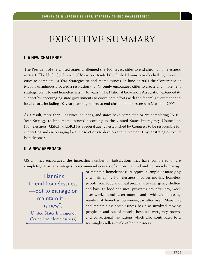# EXECUTIVE SUMMARY

# **I. A NEW CHALLENGE**

The President of the United States challenged the 100 largest cities to end chronic homelessness in 2001. The U. S. Conference of Mayors extended the Bush Administration's challenge to other cities to complete 10-Year Strategies to End Homelessness. In June of 2003 the Conference of Mayors unanimously passed a resolution that "strongly encourages cities to create and implement strategic plans to end homelessness in 10 years." The National Governors Association extended its support by encouraging state governments to coordinate efforts with the federal government and local efforts including 10-year planning efforts to end chronic homelessness in March of 2005.

As a result, more than 300 cities, counties, and states have completed or are completing "A 10- Year Strategy to End Homelessness" according to the United States Interagency Council on Homelessness (USICH). USICH is a federal agency established by Congress to be responsible for supporting and encouraging local jurisdictions to develop and implement 10-year strategies to end homelessness.

# **II. A NEW APPROACH**

USICH has encouraged the increasing number of jurisdictions that have completed or are completing 10-year strategies to recommend courses of action that end and not merely manage

"Planning to end homelessness —not to manage or maintain it is new". (United States Interagency Council on Homelessness)

or maintain homelessness. A typical example of managing and maintaining homelessness involves moving homeless people from food and meal programs to emergency shelters and back to food and meal programs day after day, week after week, month after month, and—with an increasing number of homeless persons—year after year. Managing and maintaining homelessness has also involved moving people in and out of motels, hospital emergency rooms, and correctional institutions which also contributes to a seemingly endless cycle of homelessness.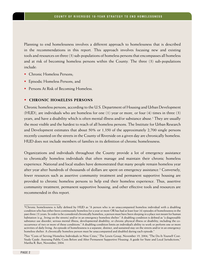Planning to end homelessness involves a different approach to homelessness that is described in the recommendations in this report. This approach involves focusing new and existing tools and resources on three (3) sub-populations of homeless persons that encompasses all homeless and at risk of becoming homeless persons within the County. The three (3) sub-populations include:

- Chronic Homeless Persons,
- Episodic Homeless Persons; and
- Persons At Risk of Becoming Homeless.

#### **• CHRONIC HOMELESS PERSONS**

Chronic homeless persons, according to the U.S. Department of Housing and Urban Development (HUD), are individuals who are homeless for one (1) year or more, or four (4) times in three (3) years, and have a disability which is often mental illness and/or substance abuse.1 They are usually the most visible and the hardest to reach of all homeless persons. The Institute for Urban Research and Development estimates that about 50% or 1,350 of the approximately 2,700 single persons recently counted on the streets in the County of Riverside on a given day are chronically homeless. HUD does not include members of families in its definition of chronic homelessness.

Organizations and individuals throughout the County provide a lot of emergency assistance to chronically homeless individuals that often manage and maintain their chronic homeless experience. National and local studies have demonstrated that many people remain homeless year after year after hundreds of thousands of dollars are spent on emergency assistance.2 Conversely, fewer resources such as assertive community treatment and permanent supportive housing are provided to chronic homeless persons to help end their homeless experience. Thus, assertive community treatment, permanent supportive housing, and other effective tools and resources are recommended in this report.

<sup>&</sup>lt;sup>1</sup>Chronic homelessness is fully defined by HUD as "A person who is an unaccompanied homeless individual with a disabling condition who has either been continuously homeless for a year or more OR has had at least four (4) episodes of homelessness in the past three (3) years. In order to be considered chronically homeless, a person must have been sleeping in a place not meant for human habitation (e.g., living on the streets) and/or in an emergency homeless shelter." A disabling condition is defined as "a diagnosable substance use disorder, serious mental illness, developmental disability, or chronic physical illness or disability, including the cooccurrence of two or more of these conditions." A disabling condition limits an individual's ability to work or perform one or more activities of daily living. An episode of homelessness is a separate, distinct, and sustained stay on the streets and/or in an emergency homeless shelter. A chronically homeless person must be unaccompanied and disabled during each episode."

<sup>2</sup>See "Costs of Serving Homeless Individuals in Nine Cities," The Lewin Group, November 19, 2004; "The Do-It-Yourself Cost-Study Guide: Assessing Public Costs Before and After Permanent Supportive Housing: A guide for State and Local Jurisdictions," Martha R. Burt, November, 2004.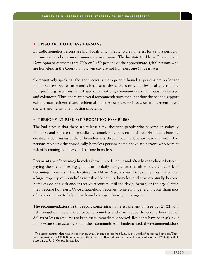#### **• Episodic Homeless Persons**

Episodic homeless persons are individuals or families who are homeless for a short period of time—days, weeks, or months—not a year or more. The Institute for Urban Research and Development estimates that 70% or 3,150 persons of the approximate 4,500 persons who are homeless in the County on a given day are not homeless one (1) year later.

Comparatively-speaking, the good news is that episodic homeless persons are no longer homeless days, weeks, or months because of the services provided by local government, non-profit organizations, faith-based organizations, community service groups, businesses, and volunteers. Thus, there are several recommendations that underline the need to support existing non-residential and residential homeless services such as case management based shelters and transitional housing programs.

## **• Persons At Risk of Becoming Homeless**

The bad news is that there are at least a few thousand people who become episodically homeless and replace the episodically homeless persons noted above who obtain housing creating a continuous cycle of homelessness throughout the County year after year. The persons replacing the episodically homeless persons noted above are persons who were at risk of becoming homeless and became homeless.

Persons at risk of becoming homeless have limited income and often have to choose between paying their rent or mortgage and other daily living costs that often put them at risk of becoming homeless.3 The Institute for Urban Research and Development estimates that a large majority of households at risk of becoming homeless and who eventually become homeless do not seek and/or receive resources until the day(s) before, or the day(s) after, they become homeless. Once a household becomes homeless, it generally costs thousands of dollars or more to help these households gain housing once again.

The recommendations in this report concerning homeless prevention (see pgs 21-22) will help households before they become homeless and may reduce the cost to hundreds of dollars or less in resources to keep them immediately housed. Residents have been asking if homelessness can actually end in their communities. If implemented, the recommendations

<sup>3</sup>This report assumes that households with an annual income of less than \$25,000 are at risk of becoming homeless. There were approximately 100,000 households in the County of Riverside with an annual income of less than \$25,000 in 2000 according to U. S. Census Bureau data.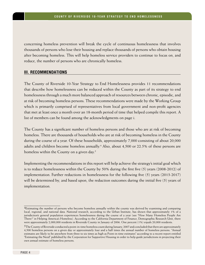concerning homeless prevention will break the cycle of continuous homelessness that involves thousands of persons who lose their housing and replace thousands of persons who obtain housing after becoming homeless. This will help homeless service providers to continue to focus on, and reduce, the number of persons who are chronically homeless.

## **III. Recommendations**

The County of Riverside 10-Year Strategy to End Homelessness provides 11 recommendations that describe how homelessness can be reduced within the County as part of its strategy to end homelessness through a much more balanced approach of resources between chronic, episodic, and at risk of becoming homeless persons. These recommendations were made by the Working Group which is primarily comprised of representatives from local government and non-profit agencies that met at least once a month over an 18-month period of time that helped compile this report. A list of members can be found among the acknowledgments on page i.

The County has a significant number of homeless persons and those who are at risk of becoming homeless. There are thousands of households who are at risk of becoming homeless in the County during the course of a year. Of these households, approximately 7,000 consisting of about 20,000 adults and children become homeless annually.<sup>4</sup> Also, about 4,500 or 22.5% of these persons are homeless within the County on a given day.<sup>5</sup>

Implementing the recommendations in this report will help achieve the strategy's initial goal which is to reduce homelessness within the County by 50% during the first five (5) years (2008-2012) of implementation. Further reductions in homelessness for the following five (5) years (2013-2017) will be determined by, and based upon, the reduction outcomes during the initial five (5) years of implementation.

<sup>4</sup>Estimating the number of persons who become homeless annually within the county was derived by examining and comparing local, regional, and national data. National research, according to the Urban Institute, has shown that approximately 1% of a jurisdiction's general population experiences homelessness during the course of a year (see "How Many Homeless People Are There?" in Helping America's Homeless). According to the California Department of Finance, Demographic Research Unit, there were approximately 2,000,000 residents in Riverside County in January of 2006. One percent (1%) equals 20,000 residents.

<sup>5</sup>The County of Riverside conducted a point-in-time homeless count during January, 2007 and concluded that there are approximately 4,500 homeless persons on a given day or approximately four and a half times the annual number of homeless persons. "Annual estimates are likely to be anywhere from three to six times as high as Point-in-time estimates" according to a recent report entitled "Estimating the Need" published by the Corporation for Supportive Housing in order to help guide jurisdictions in projecting their own annual estimate of homeless persons.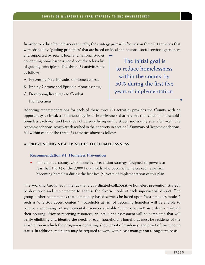In order to reduce homelessness annually, the strategy primarily focuses on three (3) activities that were shaped by "guiding principles" that are based on local and national social service experiences

and supported by recent local and national studies concerning homelessness (see Appendix A for a list of guiding principles). The three (3) activities are as follows:

- A. Preventing New Episodes of Homelessness;
- B. Ending Chronic and Episodic Homelessness;
- C. Developing Resources to Combat

Homelessness.

The initial goal is to reduce homelessness within the county by 50% during the first five years of implementation.

Adopting recommendations for each of these three (3) activities provides the County with an opportunity to break a continuous cycle of homelessness that has left thousands of households homeless each year and hundreds of persons living on the streets incessantly year after year. The recommendations, which are described in their entirety in Section II Summary of Recommendations, fall within each of the three (3) activities above as follows:

#### **A. Preventing New Episodes of Homelessness**

#### **Recommendation #1: Homeless Prevention**

• implement a county-wide homeless prevention strategy designed to prevent at least half (50%) of the 7,000 households who become homeless each year from becoming homeless during the first five (5) years of implementation of this plan.

The Working Group recommends that a coordinated/collaborative homeless prevention strategy be developed and implemented to address the diverse needs of each supervisorial district. The group further recommends that community-based services be based upon "best practices models" such as "one-stop access centers." Households at risk of becoming homeless will be eligible to receive a wide-range of supplemental resources available "under one roof" in order to maintain their housing. Prior to receiving resources, an intake and assessment will be completed that will verify eligibility and identify the needs of each household. Households must be residents of the jurisdiction in which the program is operating, show proof of residency, and proof of low income status. In addition, recipients may be required to work with a case manager on a long-term basis.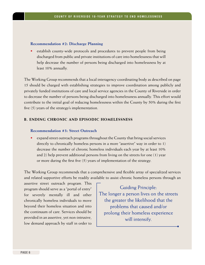#### **Recommendation #2: Discharge Planning**

• establish county-wide protocols and procedures to prevent people from being discharged from public and private institutions of care into homelessness that will help decrease the number of persons being discharged into homelessness by at least 10% annually.

The Working Group recommends that a local interagency coordinating body as described on page 15 should be charged with establishing strategies to improve coordination among publicly and privately funded institutions of care and local service agencies in the County of Riverside in order to decrease the number of persons being discharged into homelessness annually. This effort would contribute to the initial goal of reducing homelessness within the County by 50% during the first five (5) years of the strategy's implementation.

#### **B. Ending Chronic and Episodic Homelessness**

#### **Recommendation #3: Street Outreach**

• expand street outreach programs throughout the County that bring social services directly to chronically homeless persons in a more "assertive" way in order to 1) decrease the number of chronic homeless individuals each year by at least 10% and 2) help prevent additional persons from living on the streets for one (1) year or more during the first five (5) years of implementation of the strategy.

The Working Group recommends that a comprehensive and flexible array of specialized services and related supportive efforts be readily available to assist chronic homeless persons through an

assertive street outreach program. This program should serve as a "portal of entry" for severely mentally ill and other chronically homeless individuals to move beyond their homeless situation and into the continuum of care. Services should be provided in an assertive, yet non-intrusive, low demand approach by staff in order to

Guiding Principle: The longer a person lives on the streets the greater the likelihood that the problems that caused and/or prolong their homeless experience will intensify.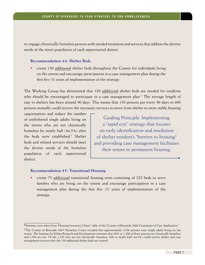re-engage chronically homeless persons with needed treatment and services that address the diverse needs of the street population of each supervisorial district.

#### **Recommendation #4: Shelter Beds**

• create 150 additional shelter beds throughout the County for individuals living on the streets and encourage participation in a case management plan during the first five (5) years of implementation of the strategy.

The Working Group has determined that 150 additional shelter beds are needed for residents who should be encouraged to participate in a case management plan.<sup>6</sup> The average length of stay in shelters has been around 90 days. This means that 150 persons per every 90 days or 600 persons annually could receive the necessary services to move from shelter to more stable housing

opportunities and reduce the number of unsheltered single adults living on the streets who are not chronically homeless by nearly half (44.5%) after the beds were established.7 Shelter beds and related services should meet the diverse needs of the homeless population of each supervisorial district.

Guiding Principle: Implementing a "rapid exit" strategy that focuses on early identification and resolution of shelter resident's "barriers to housing" and providing case management facilitates their return to permanent housing.

#### **Recommendation #5: Transitional Housing**

• create 75 additional transitional housing units consisting of 225 beds to serve families who are living on the streets and encourage participation in a case management plan during the first five (5) years of implementation of the strategy.

<sup>6</sup>Statistics were taken from "Housing Inventory Charts" table of the "County of Riverside 2006 Continuum of Care Application."

<sup>7</sup>The County of Riverside 2007 Homeless Count revealed that approximately 2,700 persons were single adults living on the streets. The Institute for Urban Research and Development estimates that 50% or 1,350 of these persons are chronically homeless and 1,350 are not. Of the 1,350 who are not chronically homeless, 600 or nearly half (44.5%) could receive shelter and case management services after the 150 additional shelter beds are created.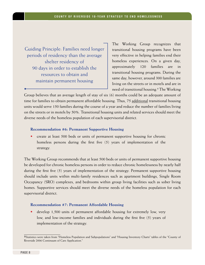Guiding Principle: Families need longer periods of residency than the average shelter residency of 90 days in order to establish the resources to obtain and maintain permanent housing

The Working Group recognizes that transitional housing programs have been very effective in helping families end their homeless experiences. On a given day, approximately 120 families are in transitional housing programs. During the same day, however, around 300 families are living on the streets or in motels and are in need of transitional housing.8 The Working

Group believes that an average length of stay of six (6) months could be an adequate amount of time for families to obtain permanent affordable housing. Thus, 75 additional transitional housing units would serve 150 families during the course of a year and reduce the number of families living on the streets or in motels by 50%. Transitional housing units and related services should meet the diverse needs of the homeless population of each supervisorial district.

#### **Recommendation #6: Permanent Supportive Housing**

• create at least 500 beds or units of permanent supportive housing for chronic homeless persons during the first five (5) years of implementation of the strategy.

The Working Group recommends that at least 500 beds or units of permanent supportive housing be developed for chronic homeless persons in order to reduce chronic homelessness by nearly half during the first five (5) years of implementation of the strategy. Permanent supportive housing should include units within multi-family residences such as apartment buildings, Single Room Occupancy (SRO) complexes, and bedrooms within group living facilities such as sober living homes. Supportive services should meet the diverse needs of the homeless population for each supervisorial district.

#### **Recommendation #7: Permanent Affordable Housing**

• develop 1,500 units of permanent affordable housing for extremely low, very low, and low-income families and individuals during the first five (5) years of implementation of the strategy.

<sup>8</sup>Statistics were taken from "Homeless Population and Subpopulations" and "Housing Inventory Charts" tables of the "County of Riverside 2006 Continuum of Care Application."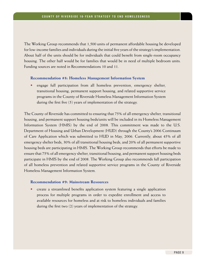The Working Group recommends that 1,500 units of permanent affordable housing be developed for low-income families and individuals during the initial five years of the strategy's implementation. About half of the units should be for individuals that could benefit from single-room occupancy housing. The other half would be for families that would be in need of multiple bedroom units. Funding sources are noted in Recommendations 10 and 11.

#### **Recommendation #8: Homeless Management Information System**

• engage full participation from all homeless prevention, emergency shelter, transitional housing, permanent support housing, and related supportive service programs in the County of Riverside Homeless Management Information System during the first five (5) years of implementation of the strategy.

The County of Riverside has committed to ensuring that 75% of all emergency shelter, transitional housing, and permanent support housing beds/units will be included in its Homeless Management Information System (HMIS) by the end of 2008. This commitment was made to the U.S. Department of Housing and Urban Development (HUD) through the County's 2006 Continuum of Care Application which was submitted to HUD in May, 2006. Currently, about 45% of all emergency shelter beds, 30% of all transitional housing beds, and 20% of all permanent supportive housing beds are participating in HMIS. The Working Group recommends that efforts be made to ensure that 75% of all emergency shelter, transitional housing, and permanent support housing beds participate in HMIS by the end of 2008. The Working Group also recommends full participation of all homeless prevention and related supportive service programs in the County of Riverside Homeless Management Information System.

#### **Recommendation #9: Mainstream Resources**

• create a streamlined benefits application system featuring a single application process for multiple programs in order to expedite enrollment and access to available resources for homeless and at risk to homeless individuals and families during the first two (2) years of implementation of the strategy.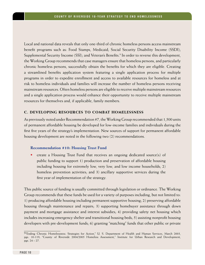Local and national data reveals that only one-third of chronic homeless persons access mainstream benefit programs such as: Food Stamps, Medicaid; Social Security Disability Income (SSDI); Supplemental Security Income (SSI); and Veteran's Benefits.<sup>9</sup> In order to reverse this development, the Working Group recommends that case managers ensure that homeless persons, and particularly chronic homeless persons, successfully obtain the benefits for which they are eligible. Creating a streamlined benefits application system featuring a single application process for multiple programs in order to expedite enrollment and access to available resources for homeless and at risk to homeless individuals and families will increase the number of homeless persons receiving mainstream resources. Often homeless persons are eligible to receive multiple mainstream resources and a single application process would enhance their opportunity to receive multiple mainstream resources for themselves and, if applicable, family members.

#### **C. Developing Resources to Combat Homelessness**

As previously noted under Recommendation #7, the Working Group recommended that 1,500 units of permanent affordable housing be developed for low-income families and individuals during the first five years of the strategy's implementation. New sources of support for permanent affordable housing development are noted in the following two (2) recommendations.

#### **Recommendation #10: Housing Trust Fund**

• create a Housing Trust Fund that receives an ongoing dedicated source(s) of public funding to support 1) production and preservation of affordable housing including housing for extremely low, very low, and low income households; 2) homeless prevention activities, and 3) ancillary supportive services during the first year of implementation of the strategy.

This public source of funding is usually committed through legislation or ordinance. The Working Group recommends that these funds be used for a variety of purposes including, but not limited to: 1) producing affordable housing including permanent supportive housing; 2) preserving affordable housing through maintenance and repairs; 3) supporting homebuyer assistance through down payment and mortgage assistance and interest subsidies; 4) providing safety net housing which includes increasing emergency shelter and transitional housing beds; 5) assisting nonprofit housing developers with pre-development funds; 6) granting "matching" funds that other public or private

<sup>9&</sup>quot;Ending Chronic Homelessness: Strategies for Action," U. S. Department of Health and Human Services, March 2003, pgs. 10-119; "County of Riverside 2004/2005 Homeless Assessment," Institute for Urban Research and Development, pgs. 24 – 27.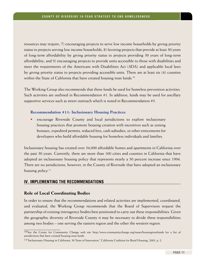resources may require; 7) encouraging projects to serve low income households by giving priority status to projects serving low income households; 8) favoring projects that provide at least 30 years of long-term affordability by giving priority status to projects providing 30 years of long-term affordability; and 9) encouraging projects to provide units accessible to those with disabilities and meet the requirements of the Americans with Disabilities Act (ADA) and applicable local laws by giving priority status to projects providing accessible units. There are at least six (6) counties within the State of California that have created housing trust funds.<sup>10</sup>

The Working Group also recommends that these funds be used for homeless prevention activities. Such activities are outlined in Recommendation #1. In addition, funds may be used for ancillary supportive services such as street outreach which is noted in Recommendation #3.

#### **Recommendation #11: Inclusionary Housing Practices**

• encourage Riverside County and local jurisdictions to explore inclusionary housing practices that promote housing creation with incentives such as zoning bonuses, expedited permits, reduced fees, cash subsidies, or other enticements for developers who build affordable housing for homeless individuals and families.

Inclusionary housing has created over 34,000 affordable homes and apartments in California over the past 30 years. Currently, there are more than 100 cities and counties in California that have adopted an inclusionary housing policy that represents nearly a 50 percent increase since 1994. There are no jurisdictions, however, in the County of Riverside that have adopted an inclusionary housing policy. $11$ 

#### **IV. Implementing the Recommendations**

#### **Role of Local Coordinating Bodies**

In order to ensure that the recommendations and related activities are implemented, coordinated, and evaluated, the Working Group recommends that the Board of Supervisors request the partnership of existing interagency bodies best positioned to carry out these responsibilities. Given the geographic diversity of Riverside County it may be necessary to divide these responsibilities among two bodies – one serving the eastern region and the other the western region.

<sup>10</sup>See the Center for Community Change web site http://www.communitychange.org/issues/housingtrustfunds for a list of jurisdictions that have created housing trust funds.

<sup>11&</sup>quot;Inclusionary Housing in California: 30 Years of Innovation," California Coalition for Rural Housing, 2003, p. 2.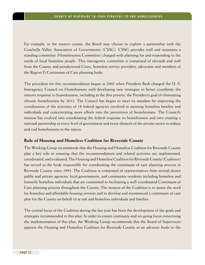For example, in the eastern county, the Board may choose to explore a partnership with the Coachella Valley Association of Governments (CVAG). CVAG provides staff and maintains a standing committee (Homelessness Committee) charged with planning for and responding to the needs of local homeless people. This interagency committee is comprised of electeds and staff from the County and jurisdictional Cities, homeless service providers, advocates and members of the Region D Continuum of Care planning body.

The precedent for this recommendation began in 2002 when President Bush charged the U. S. Interagency Council on Homelessness with developing new strategies to better coordinate the nation's response to homelessness, including as the first priority, the President's goal of eliminating chronic homelessness by 2012. The Council has begun to meet its mandate by improving the coordination of the activities of 18 federal agencies involved in assisting homeless families and individuals and concentrating more efforts into the prevention of homelessness. The Council's mission has evolved into coordinating the federal response to homelessness and into creating a national partnership at every level of government and every element of the private sector to reduce and end homelessness in the nation.

#### **Role of Housing and Homeless Coalition for Riverside County**

The Working Group recommends that the Housing and Homeless Coalition for Riverside County play a key role in ensuring that the recommendations and related activities are implemented, coordinated, and evaluated. The Housing and Homeless Coalition for Riverside County (Coalition) has served as the body responsible for coordinating the continuum of care planning process in Riverside County since 1995. The Coalition is comprised of representatives from several dozen public and private agencies, local governments, and community residents including homeless and formerly homeless individuals that are committed to facilitating a well-coordinated Continuum of Care planning process throughout the County. The mission of the Coalition is to assess the need for homeless and affordable housing services and to develop and recommend a continuum of care plan for the County on behalf of at risk and homeless individuals and families.

The central focus of the Coalition during the last year has been the development of the goals and strategies recommended in this plan. In order to ensure continuity and on-going focus concerning the implementation of this plan, the Working Group recommends that the Board of Supervisors appoint the Housing and Homeless Coalition for Riverside County as an advisory body to the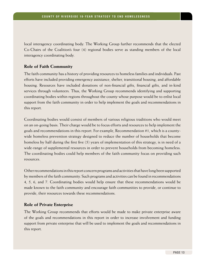local interagency coordinating body. The Working Group further recommends that the elected Co-Chairs of the Coalition's four (4) regional bodies serve as standing members of the local interagency coordinating body.

## **Role of Faith Community**

The faith community has a history of providing resources to homeless families and individuals. Past efforts have included providing emergency assistance, shelter, transitional housing, and affordable housing. Resources have included donations of non-financial gifts, financial gifts, and in-kind services through volunteers. Thus, the Working Group recommends identifying and supporting coordinating bodies within regions throughout the county whose purpose would be to enlist local support from the faith community in order to help implement the goals and recommendations in this report.

Coordinating bodies would consist of members of various religious traditions who would meet on an on-going basis. Their charge would be to focus efforts and resources to help implement the goals and recommendations in this report. For example, Recommendation #1, which is a countywide homeless prevention strategy designed to reduce the number of households that become homeless by half during the first five (5) years of implementation of this strategy, is in need of a wide-range of supplemental resources in order to prevent households from becoming homeless. The coordinating bodies could help members of the faith community focus on providing such resources.

Other recommendations in this report concern programs and activities that have long been supported by members of the faith community. Such programs and activities can be found in recommendations 4, 5, 6, and 7. Coordinating bodies would help ensure that these recommendations would be made known to the faith community and encourage faith communities to provide, or continue to provide, their resources towards these recommendations.

#### **Role of Private Enterprise**

The Working Group recommends that efforts would be made to make private enterprise aware of the goals and recommendations in this report in order to increase involvement and funding support from private enterprise that will be used to implement the goals and recommendations in this report.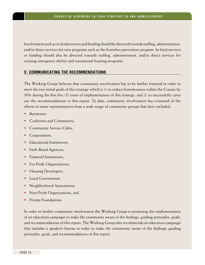Involvement such as in-kind services and funding should be directed towards staffing, administration, and/or direct services for new programs such as the homeless prevention program. In-kind services or funding should also be directed towards staffing, administration, and/or direct services for existing emergency shelter and transitional housing programs.

#### **V. Communicating the Recommendations**

The Working Group believes that community involvement has to be further fostered in order to meet the two initial goals of this strategy which is 1) to reduce homelessness within the County by 50% during the first five (5) years of implementation of this strategy; and 2) to successfully carry out the recommendations in this report. To date, community involvement has consisted of the efforts of many representatives from a wide-range of community groups that have included:

- Businesses;
- Coalitions and Committees,
- Community Service Clubs<sub>i</sub>
- Corporations,
- Educational Institutions;
- Faith-Based Agencies;
- Financial Institutions:
- For-Profit Organizations,
- Housing Developers;
- Local Government;
- Neighborhood Associations;
- Non-Profit Organizations; and
- Private Foundations.

In order to further community involvement the Working Group is proposing the implementation of an education campaign to make the community aware of the findings, guiding principles, goals, and recommendations of this report. The Working Group also recommends an education campaign that includes a speaker's bureau in order to make the community aware of the findings, guiding principles, goals, and recommendations of this report.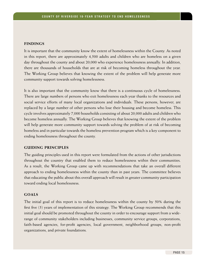#### **Findings**

It is important that the community know the extent of homelessness within the County. As noted in this report, there are approximately 4,500 adults and children who are homeless on a given day throughout the county and about 20,000 who experience homelessness annually. In addition, there are thousands of households that are at risk of becoming homeless throughout the year. The Working Group believes that knowing the extent of the problem will help generate more community support towards solving homelessness.

It is also important that the community know that there is a continuous cycle of homelessness. There are large numbers of persons who exit homelessness each year thanks to the resources and social service efforts of many local organizations and individuals. These persons, however, are replaced by a large number of other persons who lose their housing and become homeless. This cycle involves approximately 7,000 households consisting of about 20,000 adults and children who become homeless annually. The Working Group believes that knowing the extent of the problem will help generate more community support towards solving the problem of at risk of becoming homeless and in particular towards the homeless prevention program which is a key component to ending homelessness throughout the county.

#### **Guiding Principles**

The guiding principles used in this report were formulated from the actions of other jurisdictions throughout the country that enabled them to reduce homelessness within their communities. As a result, the Working Group came up with recommendations that take an overall different approach to ending homelessness within the county than in past years. The committee believes that educating the public about this overall approach will result in greater community participation toward ending local homelessness.

#### **Goals**

The initial goal of this report is to reduce homelessness within the county by 50% during the first five (5) years of implementation of this strategy. The Working Group recommends that this initial goal should be promoted throughout the county in order to encourage support from a widerange of community stakeholders including businesses, community service groups, corporations, faith-based agencies, for-profit agencies, local government, neighborhood groups, non-profit organizations, and private foundations.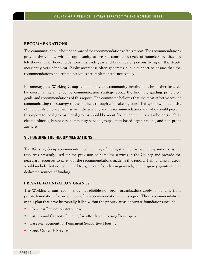#### **Recommendations**

The community should be made aware of the recommendations of this report. The recommendations provide the County with an opportunity to break a continuous cycle of homelessness that has left thousands of households homeless each year and hundreds of persons living on the streets incessantly year after year. Public awareness often generates public support to ensure that the recommendations and related activities are implemented successfully.

In summary, the Working Group recommends that community involvement be further fostered by coordinating an effective communication strategy about the findings, guiding principles, goals, and recommendations of this report. The committee believes that the most effective way of communicating the strategy to the public is through a "speakers group." This group would consist of individuals who are familiar with the strategy and its recommendations and who should present this report to local groups. Local groups should be identified by community stakeholders such as elected officials, businesses, community service groups, faith-based organizations, and non-profit agencies.

#### **VI. Funding the Recommendations**

The Working Group recommends implementing a funding strategy that would expand on existing resources presently used for the provision of homeless services in the County and provide the necessary resources to carry out the recommendations made in this report. This funding strategy would include, but not be limited to, a) private foundation grants; b) public agency grants; and c) dedicated sources of funding.

#### **Private Foundation Grants**

The Working Group recommends that eligible non-profit organizations apply for funding from private foundations for one or more of the recommendations in this report. Those recommendations in this plan that have historically fallen within the priority areas of private foundations include:

- Homeless Prevention Activities,
- Institutional Capacity Building for Affordable Housing Developers,
- Case Management for Permanent Supportive Housing;
- Street Outreach Services;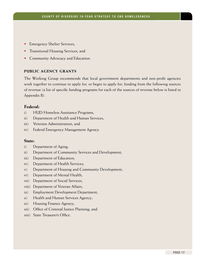- Emergency Shelter Services;
- Transitional Housing Services; and
- Community Advocacy and Education.

#### **Public Agency Grants**

The Working Group recommends that local government departments and non-profit agencies work together to continue to apply for, or begin to apply for, funding from the following sources of revenue (a list of specific funding programs for each of the sources of revenue below is listed in Appendix B):

## **Federal:**

- i) HUD Homeless Assistance Programs;
- ii) Department of Health and Human Services;
- iii) Veterans Administration; and
- iv) Federal Emergency Management Agency.

#### **State:**

- i) Department of Aging;
- ii) Department of Community Services and Development;
- iii) Department of Education;
- iv) Department of Health Services;
- v) Department of Housing and Community Development;
- vi) Department of Mental Health;
- vii) Department of Social Services;
- viii) Department of Veteran Affairs;
- ix) Employment Development Department;
- x) Health and Human Services Agency;
- xi) Housing Finance Agency;
- xii) Office of Criminal Justice Planning; and
- xiii) State Treasurer's Office.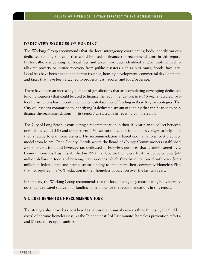#### **Dedicated Sources of Funding**

The Working Group recommends that the local interagency coordinating body identify various dedicated funding source(s) that could be used to finance the recommendations in this report. Historically, a wide-range of local fees and taxes have been identified and/or implemented to alleviate poverty or initiate recovery from public disasters such as hurricanes, floods, fires, etc. Local fees have been attached to permit issuance, housing development, commercial development, and taxes that have been attached to property, gas, resorts, and food/beverage.

There have been an increasing number of jurisdictions that are considering developing dedicated funding source(s) that could be used to finance the recommendations in its 10-year strategies. Two local jurisdictions have recently noted dedicated sources of funding in their 10-year strategies. The City of Pasadena committed to identifying "a dedicated stream of funding that can be used to help finance the recommendations in (its) report" as stated in its recently completed plan.

The City of Long Beach is considering a recommendation in their 10-year plan to collect between one-half percent (.5%) and one percent (1%) tax on the sale of food and beverages to help fund their strategy to end homelessness. The recommendation is based upon a national best practices model from Miami-Dade County, Florida where the Board of County Commissioners established a one-percent food and beverage tax dedicated to homeless purposes that is administered by a County Homeless Trust. Established in 1993, the County Homeless Trust has collected over \$97 million dollars in food and beverage tax proceeds which they have combined with over \$250 million in federal, state and private sector funding to implement their community Homeless Plan that has resulted in a 70% reduction in their homeless population over the last ten years.

In summary, the Working Group recommends that the local interagency coordinating body identify potential dedicated source(s) of funding to help finance the recommendations in this report.

#### **VII. Cost Benefits of Recommendations**

The strategy also provides a cost benefit analysis that primarily reveals three things: 1) the "hidden costs" of chronic homelessness; 2) the "hidden costs" of "last minute" homeless prevention efforts; and 3) cost-offset opportunities.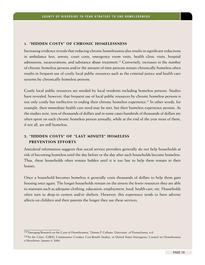# **1. "Hidden Costs" of Chronic Homelessness**

Increasing evidence reveals that reducing chronic homelessness also results in significant reductions in ambulance fees, arrests, court costs, emergency room visits, health clinic visits, hospital admissions, incarcerations, and substance abuse treatment.<sup>12</sup> Conversely, increases in the number of chronic homeless persons and/or the amount of time persons remain chronically homeless often results in frequent use of costly local public resources such as the criminal justice and health care systems by chronically homeless persons.

Costly local public resources are needed by local residents including homeless persons. Studies have revealed, however, that frequent use of local public resources by chronic homeless persons is not only costly but ineffective in ending their chronic homeless experience.<sup>13</sup> In other words, for example, their immediate health care need may be met, but their homeless experience persists. As the studies note, tens of thousands of dollars and in some cases hundreds of thousands of dollars are often spent on each chronic homeless person annually, while at the end of the year most of them, if not all, are still homeless.

# **2. "Hidden Costs" of "Last Minute" Homeless Prevention Efforts**

Anecdotal information suggests that social service providers generally do not help households at risk of becoming homeless until the day before or the day after such households become homeless. Thus, these households often remain hidden until it is too late to help them remain in their homes.

Once a household becomes homeless it generally costs thousands of dollars to help them gain housing once again. The longer households remain on the streets the fewer resources they are able to maintain such as adequate clothing, education, employment, food, health care, etc. Households often turn to drop-in centers and/or shelters. However, this experience tends to have adverse affects on children and their parents the longer they use these services.

<sup>12&</sup>quot;Emerging Research on the Costs of Homelessness," Dennis P. Culhane, University of Pennsylvania, n.d.

<sup>13&</sup>quot;In the Cities: G2B2G Communities Conduct Cost-Benefit Studies, in United States Interagency Council on Homelessness e-Newsletter, January 6, 2006.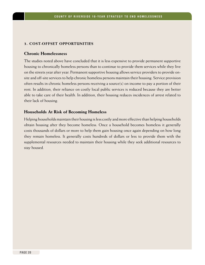#### **3. Cost-Offset Opportunities**

#### **Chronic Homelessness**

The studies noted above have concluded that it is less expensive to provide permanent supportive housing to chronically homeless persons than to continue to provide them services while they live on the streets year after year. Permanent supportive housing allows service providers to provide onsite and off-site services to help chronic homeless persons maintain their housing. Service provision often results in chronic homeless persons receiving a source(s) on income to pay a portion of their rent. In addition, their reliance on costly local public services is reduced because they are better able to take care of their health. In addition, their housing reduces incidences of arrest related to their lack of housing.

#### **Households At Risk of Becoming Homeless**

Helping households maintain their housing is less costly and more effective than helping households obtain housing after they become homeless. Once a household becomes homeless it generally costs thousands of dollars or more to help them gain housing once again depending on how long they remain homeless. It generally costs hundreds of dollars or less to provide them with the supplemental resources needed to maintain their housing while they seek additional resources to stay housed.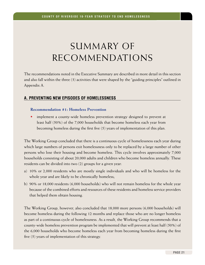# SUMMARY OF Recommendations

The recommendations noted in the Executive Summary are described in more detail in this section and also fall within the three (3) activities that were shaped by the "guiding principles" outlined in Appendix A.

# **A. Preventing New Episodes of Homelessness**

## **Recommendation #1: Homeless Prevention**

• implement a county-wide homeless prevention strategy designed to prevent at least half (50%) of the 7,000 households that become homeless each year from becoming homeless during the first five (5) years of implementation of this plan.

The Working Group concluded that there is a continuous cycle of homelessness each year during which large numbers of persons exit homelessness only to be replaced by a large number of other persons who lose their housing and become homeless. This cycle involves approximately 7,000 households consisting of about 20,000 adults and children who become homeless annually. These residents can be divided into two (2) groups for a given year:

- a) 10% or 2,000 residents who are mostly single individuals and who will be homeless for the whole year and are likely to be chronically homeless;
- b) 90% or 18,000 residents (6,000 households) who will not remain homeless for the whole year because of the combined efforts and resources of these residents and homeless service providers that helped them obtain housing.

The Working Group, however, also concluded that 18,000 more persons (6,000 households) will become homeless during the following 12 months and replace those who are no longer homeless as part of a continuous cycle of homelessness. As a result, the Working Group recommends that a county-wide homeless prevention program be implemented that will prevent at least half (50%) of the 6,000 households who become homeless each year from becoming homeless during the first five (5) years of implementation of this strategy.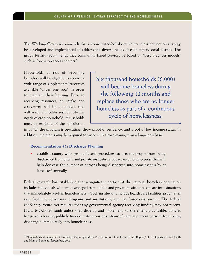The Working Group recommends that a coordinated/collaborative homeless prevention strategy be developed and implemented to address the diverse needs of each supervisorial district. The group further recommends that community-based services be based on "best practices models" such as "one-stop access centers."

Households at risk of becoming homeless will be eligible to receive a wide-range of supplemental resources available "under one roof" in order to maintain their housing. Prior to receiving resources, an intake and assessment will be completed that will verify eligibility and identify the needs of each household. Households must be residents of the jurisdiction

Six thousand households (6,000) will become homeless during the following 12 months and replace those who are no longer homeless as part of a continuous cycle of homelessness.

in which the program is operating, show proof of residency, and proof of low income status. In addition, recipients may be required to work with a case manager on a long-term basis.

#### **Recommendation #2: Discharge Planning**

• establish county-wide protocols and procedures to prevent people from being discharged from public and private institutions of care into homelessness that will help decrease the number of persons being discharged into homelessness by at least 10% annually.

Federal research has established that a significant portion of the national homeless population includes individuals who are discharged from public and private institutions of care into situations that immediately result in homelessness.<sup>14</sup> Such institutions include health care facilities, psychiatric care facilities, corrections programs and institutions, and the foster care system. The federal McKinney-Vento Act requires that any governmental agency receiving funding may not receive HUD McKinney funds unless they develop and implement, to the extent practicable, policies for persons leaving publicly funded institutions or systems of care to prevent persons from being discharged immediately into homelessness.

<sup>14&</sup>quot;Evaluability Assessment of Discharge Planning and the Prevention of Homelessness: Full Report," U. S. Department of Health and Human Services, September, 2005.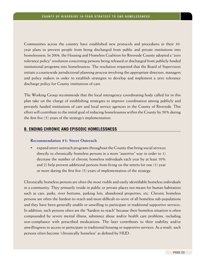Communities across the country have established new protocols and procedures in their 10 year plans to prevent people from being discharged from public and private institutions into homelessness. In 2004, the Housing and Homeless Coalition for Riverside County adopted a "zero tolerance policy" resolution concerning persons being released or discharged from publicly funded institutional programs into homelessness. The resolution requested that the Board of Supervisors initiate a countywide jurisdictional planning process involving the appropriate directors, managers and policy makers in order to establish strategies to develop and implement a zero tolerance discharge policy for County institutions of care.

The Working Group recommends that the local interagency coordinating body called for in this plan take on the charge of establishing strategies to improve coordination among publicly and privately funded institutions of care and local service agencies in the County of Riverside. This effort will contribute to the initial goal of reducing homelessness within the County by 50% during the first five (5) years of the strategy's implementation.

#### **B. Ending Chronic and Episodic Homelessness**

#### **Recommendation #3: Street Outreach**

• expand street outreach programs throughout the County that bring social services directly to chronically homeless persons in a more "assertive" way in order to 1) decrease the number of chronic homeless individuals each year by at least 10% and 2) help prevent additional persons from living on the streets for one (1) year or more during the first five (5) years of implementation of the strategy.

Chronically homeless persons are often the most visible and easily identifiable homeless individuals in a community. They primarily reside in public or private places not meant for human habitation such as cars, parks, river bottoms, parking lots, abandoned properties, etc. Chronic homeless persons are often the hardest-to-reach and most-difficult-to-serve of all homeless sub-populations and they have been generally unable or unwilling to participate in traditional supportive services. In addition, such persons often are the "hardest-to-reach" because their homeless situation is often compounded by severe mental illness, substance abuse and/or health care problems, including non-compliance with prescribed medications. The later contributes to their inability and/or unwillingness to access or participate in traditional housing or supportive services. As a result, such persons often become "chronically homeless" as defined by HUD.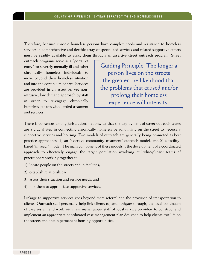Therefore, because chronic homeless persons have complex needs and resistance to homeless services, a comprehensive and flexible array of specialized services and related supportive efforts must be readily available to assist them through an assertive street outreach program. Street

outreach programs serve as a "portal of entry" for severely mentally ill and other chronically homeless individuals to move beyond their homeless situation and into the continuum of care. Services are provided in an assertive, yet nonintrusive, low demand approach by staff in order to re-engage chronically homeless persons with needed treatment and services.

Guiding Principle: The longer a person lives on the streets the greater the likelihood that the problems that caused and/or prolong their homeless experience will intensify.

There is consensus among jurisdictions nationwide that the deployment of street outreach teams are a crucial step in connecting chronically homeless persons living on the street to necessary supportive services and housing. Two models of outreach are generally being promoted as best practice approaches: 1) an "assertive community treatment" outreach model, and 2) a facilitybased "in-reach" model. The main component of these models is the development of a coordinated approach to effectively engage the target population involving multidisciplinary teams of practitioners working together to:

- 1) locate people on the streets and in facilities;
- 2) establish relationships;
- 3) assess their situation and service needs; and
- 4) link them to appropriate supportive services.

Linkage to supportive services goes beyond mere referral and the provision of transportation to clients. Outreach staff personally help link clients to, and navigate through, the local continuum of care system and work with case management staff of local service providers to construct and implement an appropriate coordinated case management plan designed to help clients exit life on the streets and obtain permanent housing opportunities.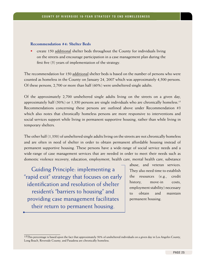#### **Recommendation #4: Shelter Beds**

• create 150 additional shelter beds throughout the County for individuals living on the streets and encourage participation in a case management plan during the first five (5) years of implementation of the strategy.

The recommendation for 150 additional shelter beds is based on the number of persons who were counted as homeless in the County on January 24, 2007 which was approximately 4,500 persons. Of these persons, 2,700 or more than half (60%) were unsheltered single adults.

Of the approximately 2,700 unsheltered single adults living on the streets on a given day, approximately half (50%) or 1,350 persons are single individuals who are chronically homeless.15 Recommendations concerning these persons are outlined above under Recommendation #3 which also notes that chronically homeless persons are more responsive to interventions and social services support while living in permanent supportive housing, rather than while living in temporary shelters.

The other half (1,350) of unsheltered single adults living on the streets are not chronically homeless and are often in need of shelter in order to obtain permanent affordable housing instead of permanent supportive housing. These persons have a wide-range of social service needs and a wide-range of case management services that are needed in order to meet their needs such as domestic violence recovery, education, employment, health care, mental health care, substance

Guiding Principle: implementing a "rapid exit" strategy that focuses on early identification and resolution of shelter resident's "barriers to housing" and providing case management facilitates their return to permanent housing.

abuse, and veteran services. They also need time to establish the resources (e.g., credit history, move-in costs, employment stability) necessary to obtain and maintain permanent housing.

<sup>&</sup>lt;sup>15</sup>This percentage is based upon the fact that approximately 50% of unsheltered individuals on a given day in Los Angeles County, Long Beach, Riverside County, and Pasadena are chronically homeless.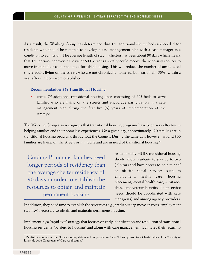As a result, the Working Group has determined that 150 additional shelter beds are needed for residents who should be required to develop a case management plan with a case manager as a condition to admission. The average length of stay in shelters has been about 90 days which means that 150 persons per every 90 days or 600 persons annually could receive the necessary services to move from shelter to permanent affordable housing. This will reduce the number of unsheltered single adults living on the streets who are not chronically homeless by nearly half (50%) within a year after the beds were established.

#### **Recommendation #5: Transitional Housing**

• create 75 additional transitional housing units consisting of 225 beds to serve families who are living on the streets and encourage participation in a case management plan during the first five (5) years of implementation of the strategy.

The Working Group also recognizes that transitional housing programs have been very effective in helping families end their homeless experiences. On a given day, approximately 120 families are in transitional housing programs throughout the County. During the same day, however, around 300 families are living on the streets or in motels and are in need of transitional housing.<sup>16</sup>

Guiding Principle: families need longer periods of residency than the average shelter residency of 90 days in order to establish the resources to obtain and maintain permanent housing

As defined by HUD, transitional housing should allow residents to stay up to two (2) years and have access to on-site and/ or off-site social services such as employment, health care, housing placement, mental health care, substance abuse, and veteran benefits. Their service needs should be coordinated with case manager(s) and among agency providers.

In addition, they need time to establish the resources (e.g., credit history, move-in costs, employment stability) necessary to obtain and maintain permanent housing.

Implementing a "rapid exit" strategy that focuses on early identification and resolution of transitional housing resident's "barriers to housing" and along with case management facilitates their return to

<sup>16</sup>Statistics were taken from "Homeless Population and Subpopulations" and "Housing Inventory Charts" tables of the "County of Riverside 2006 Continuum of Care Application."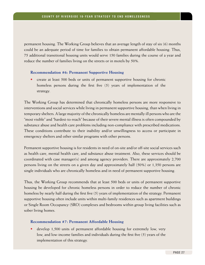permanent housing. The Working Group believes that an average length of stay of six (6) months could be an adequate period of time for families to obtain permanent affordable housing. Thus, 75 additional transitional housing units would serve 150 families during the course of a year and reduce the number of families living on the streets or in motels by 50%.

#### **Recommendation #6: Permanent Supportive Housing**

• create at least 500 beds or units of permanent supportive housing for chronic homeless persons during the first five (5) years of implementation of the strategy.

The Working Group has determined that chronically homeless persons are more responsive to interventions and social services while living in permanent supportive housing, than when living in temporary shelters. A large majority of the chronically homeless are mentally ill persons who are the "most visible" and "hardest-to-reach" because of their severe mental illness is often compounded by substance abuse and health care problems including non-compliance with prescribed medications. These conditions contribute to their inability and/or unwillingness to access or participate in emergency shelters and other similar programs with other persons.

Permanent supportive housing is for residents in need of on-site and/or off-site social services such as health care, mental health care, and substance abuse treatment. Also, these services should be coordinated with case manager(s) and among agency providers. There are approximately 2,700 persons living on the streets on a given day and approximately half (50%) or 1,350 persons are single individuals who are chronically homeless and in need of permanent supportive housing.

Thus, the Working Group recommends that at least 500 beds or units of permanent supportive housing be developed for chronic homeless persons in order to reduce the number of chronic homeless by nearly half during the first five (5) years of implementation of the strategy. Permanent supportive housing often include units within multi-family residences such as apartment buildings or Single Room Occupancy (SRO) complexes and bedrooms within group living facilities such as sober living homes.

#### **Recommendation #7: Permanent Affordable Housing**

• develop 1,500 units of permanent affordable housing for extremely low, very low, and low-income families and individuals during the first five (5) years of the implementation of this strategy.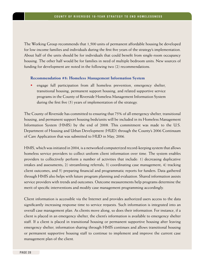The Working Group recommends that 1,500 units of permanent affordable housing be developed for low-income families and individuals during the first five years of the strategy's implementation. About half of the units should be for individuals that could benefit from single-room occupancy housing. The other half would be for families in need of multiple bedroom units. New sources of funding for development are noted in the following two (2) recommendations.

#### **Recommendation #8: Homeless Management Information System**

• engage full participation from all homeless prevention, emergency shelter, transitional housing, permanent support housing, and related supportive service programs in the County of Riverside Homeless Management Information System during the first five (5) years of implementation of the strategy.

The County of Riverside has committed to ensuring that 75% of all emergency shelter, transitional housing, and permanent support housing beds/units will be included in its Homeless Management Information System (HMIS) by the end of 2008. This commitment was made to the U.S. Department of Housing and Urban Development (HUD) through the County's 2006 Continuum of Care Application that was submitted to HUD in May, 2006.

HMIS, which was initiated in 2004, is a networked computerized record-keeping system that allows homeless service providers to collect uniform client information over time. The system enables providers to collectively perform a number of activities that include: 1) decreasing duplicative intakes and assessments; 2) streamlining referrals; 3) coordinating case management; 4) tracking client outcomes; and 5) preparing financial and programmatic reports for funders. Data gathered through HMIS also helps with future program planning and evaluation. Shared information assists service providers with trends and outcomes. Outcome measurements help programs determine the merit of specific interventions and modify case management programming accordingly.

Client information is accessible via the Internet and provides authorized users access to the data significantly increasing response time to service requests. Such information is integrated into an overall case management plan. As clients move along, so does their information. For instance, if a client is placed in an emergency shelter, the client's information is available to emergency shelter staff. If a client is placed in transitional housing or permanent supportive housing after leaving emergency shelter, information sharing through HMIS continues and allows transitional housing or permanent supportive housing staff to continue to implement and improve the current case management plan of the client.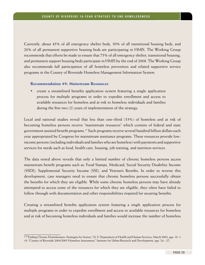Currently, about 45% of all emergency shelter beds, 30% of all transitional housing beds, and 20% of all permanent supportive housing beds are participating in HMIS. The Working Group recommends that efforts be made to ensure that 75% of all emergency shelter, transitional housing, and permanent support housing beds participate in HMIS by the end of 2008. The Working Group also recommends full participation of all homeless prevention and related supportive service programs in the County of Riverside Homeless Management Information System.

#### **Recommendation #9: Mainstream Resources**

• create a streamlined benefits application system featuring a single application process for multiple programs in order to expedite enrollment and access to available resources for homeless and at risk to homeless individuals and families during the first two (2) years of implementation of the strategy.

Local and national studies reveal that less than one–third (33%) of homeless and at risk of becoming homeless persons receive "mainstream resources" which consists of federal and state government assisted benefit programs.17 Such programs receive several hundred billion dollars each year appropriated by Congress for mainstream assistance programs. These resources provide lowincome persons (including individuals and families who are homeless) with payments and supportive services for needs such as food, health care, housing, job training, and nutrition services.

The data noted above reveals that only a limited number of chronic homeless persons access mainstream benefit programs such as: Food Stamps, Medicaid; Social Security Disability Income (SSDI); Supplemental Security Income (SSI); and Veteran's Benefits. In order to reverse this development, case managers need to ensure that chronic homeless persons successfully obtain the benefits for which they are eligible. While some chronic homeless persons may have already attempted to access some of the resources for which they are eligible, they often have failed to follow through with documentation and other responsibilities required for securing benefits.

Creating a streamlined benefits application system featuring a single application process for multiple programs in order to expedite enrollment and access to available resources for homeless and at risk of becoming homeless individuals and families would increase the number of homeless

<sup>17&</sup>quot;Ending Chronic Homelessness: Strategies for Action," U. S. Department of Health and Human Services, March 2003, pgs. 10 -1 19; "County of Riverside 2004/2005 Homeless Assessment," Institute for Urban Research and Development, pgs. 24 – 27.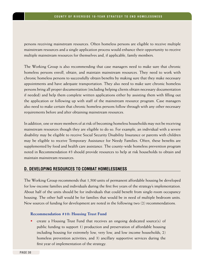persons receiving mainstream resources. Often homeless persons are eligible to receive multiple mainstream resources and a single application process would enhance their opportunity to receive multiple mainstream resources for themselves and, if applicable, family members.

The Working Group is also recommending that case managers need to make sure that chronic homeless persons enroll, obtain, and maintain mainstream resources. They need to work with chronic homeless persons to successfully obtain benefits by making sure that they make necessary appointments and have adequate transportation. They also need to make sure chronic homeless persons bring all proper documentation (including helping clients obtain necessary documentation if needed) and help them complete written applications either by assisting them with filling out the application or following up with staff of the mainstream resource program. Case managers also need to make certain that chronic homeless persons follow through with any other necessary requirements before and after obtaining mainstream resources.

In addition, one or more members of at risk of becoming homeless households may not be receiving mainstream resources though they are eligible to do so. For example, an individual with a severe disability may be eligible to receive Social Security Disability Insurance or parents with children may be eligible to receive Temporary Assistance for Needy Families. Often, these benefits are supplemented by food and health care assistance. The county-wide homeless prevention program noted in Recommendation #3 should provide resources to help at risk households to obtain and maintain mainstream resources.

# **D. Developing Resources to Combat Homelessness**

The Working Group recommends that 1,500 units of permanent affordable housing be developed for low-income families and individuals during the first five years of the strategy's implementation. About half of the units should be for individuals that could benefit from single-room occupancy housing. The other half would be for families that would be in need of multiple bedroom units. New sources of funding for development are noted in the following two (2) recommendations.

#### **Recommendation #10: Housing Trust Fund**

• create a Housing Trust Fund that receives an ongoing dedicated source(s) of public funding to support 1) production and preservation of affordable housing including housing for extremely low, very low, and low income households; 2) homeless prevention activities; and 3) ancillary supportive services during the first year of implementation of the strategy.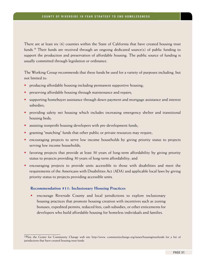There are at least six (6) counties within the State of California that have created housing trust funds.<sup>18</sup> Their funds are received through an ongoing dedicated source(s) of public funding to support the production and preservation of affordable housing. The public source of funding is usually committed through legislation or ordinance.

The Working Group recommends that these funds be used for a variety of purposes including, but not limited to:

- producing affordable housing including permanent supportive housing;
- preserving affordable housing through maintenance and repairs,
- supporting homebuyer assistance through down payment and mortgage assistance and interest subsidies;
- providing safety net housing which includes increasing emergency shelter and transitional housing beds;
- assisting nonprofit housing developers with pre-development funds;
- granting "matching" funds that other public or private resources may require;
- encouraging projects to serve low income households by giving priority status to projects serving low income households;
- favoring projects that provide at least 30 years of long-term affordability by giving priority status to projects providing 30 years of long-term affordability; and
- encouraging projects to provide units accessible to those with disabilities and meet the requirements of the Americans with Disabilities Act (ADA) and applicable local laws by giving priority status to projects providing accessible units.

#### **Recommendation #11: Inclusionary Housing Practices**

• encourage Riverside County and local jurisdictions to explore inclusionary housing practices that promote housing creation with incentives such as zoning bonuses, expedited permits, reduced fees, cash subsidies, or other enticements for developers who build affordable housing for homeless individuals and families.

<sup>18</sup>See the Center for Community Change web site http://www. communitychange.org/issues/housingtrustfunds for a list of jurisdictions that have created housing trust funds.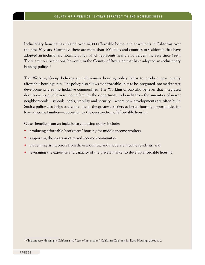Inclusionary housing has created over 34,000 affordable homes and apartments in California over the past 30 years. Currently, there are more than 100 cities and counties in California that have adopted an inclusionary housing policy which represents nearly a 50 percent increase since 1994. There are no jurisdictions, however, in the County of Riverside that have adopted an inclusionary housing policy.<sup>19</sup>

The Working Group believes an inclusionary housing policy helps to produce new, quality affordable housing units. The policy also allows for affordable units to be integrated into market rate developments creating inclusive communities. The Working Group also believes that integrated developments give lower-income families the opportunity to benefit from the amenities of newer neighborhoods—schools, parks, stability and security—where new developments are often built. Such a policy also helps overcome one of the greatest barriers to better housing opportunities for lower-income families—opposition to the construction of affordable housing.

Other benefits from an inclusionary housing policy include:

- producing affordable "workforce" housing for middle income workers;
- supporting the creation of mixed income communities;
- preventing rising prices from driving out low and moderate income residents; and
- leveraging the expertise and capacity of the private market to develop affordable housing.

<sup>19&</sup>quot;Inclusionary Housing in California: 30 Years of Innovation," California Coalition for Rural Housing, 2003, p. 2.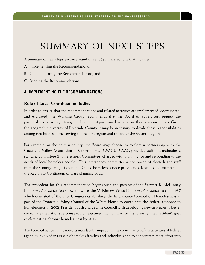# SUMMARY OF NEXT STEPS

A summary of next steps evolve around three (3) primary actions that include:

- A. Implementing the Recommendations;
- B. Communicating the Recommendations; and
- C. Funding the Recommendations.

## **A. Implementing the Recommendations**

#### **Role of Local Coordinating Bodies**

In order to ensure that the recommendations and related activities are implemented, coordinated, and evaluated, the Working Group recommends that the Board of Supervisors request the partnership of existing interagency bodies best positioned to carry out these responsibilities. Given the geographic diversity of Riverside County it may be necessary to divide these responsibilities among two bodies – one serving the eastern region and the other the western region.

For example, in the eastern county, the Board may choose to explore a partnership with the Coachella Valley Association of Governments (CVAG). CVAG provides staff and maintains a standing committee (Homelessness Committee) charged with planning for and responding to the needs of local homeless people. This interagency committee is comprised of electeds and staff from the County and jurisdictional Cities, homeless service providers, advocates and members of the Region D Continuum of Care planning body.

The precedent for this recommendation begins with the passing of the Stewart B. McKinney Homeless Assistance Act (now known as the McKinney-Vento Homeless Assistance Act) in 1987 which consisted of the U.S. Congress establishing the Interagency Council on Homelessness as part of the Domestic Policy Council of the White House to coordinate the Federal response to homelessness. In 2002, President Bush charged the Council with developing new strategies to better coordinate the nation's response to homelessness, including as the first priority, the President's goal of eliminating chronic homelessness by 2012.

The Council has begun to meet its mandate by improving the coordination of the activities of federal agencies involved in assisting homeless families and individuals and to concentrate more effort into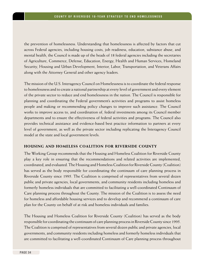the prevention of homelessness. Understanding that homelessness is affected by factors that cut across Federal agencies, including housing costs, job readiness, education, substance abuse, and mental health, the Council is made up of the heads of 18 federal agencies including the secretaries of Agriculture, Commerce, Defense, Education, Energy, Health and Human Services, Homeland Security, Housing and Urban Development, Interior, Labor, Transportation, and Veterans Affairs along with the Attorney General and other agency leaders.

The mission of the U.S. Interagency Council on Homelessness is to coordinate the federal response to homelessness and to create a national partnership at every level of government and every element of the private sector to reduce and end homelessness in the nation. The Council is responsible for planning and coordinating the Federal government's activities and programs to assist homeless people and making or recommending policy changes to improve such assistance. The Council works to improve access to, and coordination of, federal investments among its Council member departments and to ensure the effectiveness of federal activities and programs. The Council also provides technical assistance and evidence-based best practice information to partners at every level of government, as well as the private sector including replicating the Interagency Council model at the state and local government levels.

#### **Housing and Homeless Coalition for Riverside County**

The Working Group recommends that the Housing and Homeless Coalition for Riverside County play a key role in ensuring that the recommendations and related activities are implemented, coordinated, and evaluated. The Housing and Homeless Coalition for Riverside County (Coalition) has served as the body responsible for coordinating the continuum of care planning process in Riverside County since 1995. The Coalition is comprised of representatives from several dozen public and private agencies, local governments, and community residents including homeless and formerly homeless individuals that are committed to facilitating a well-coordinated Continuum of Care planning process throughout the County. The mission of the Coalition is to assess the need for homeless and affordable housing services and to develop and recommend a continuum of care plan for the County on behalf of at risk and homeless individuals and families.

The Housing and Homeless Coalition for Riverside County (Coalition) has served as the body responsible for coordinating the continuum of care planning process in Riverside County since 1995. The Coalition is comprised of representatives from several dozen public and private agencies, local governments, and community residents including homeless and formerly homeless individuals that are committed to facilitating a well-coordinated Continuum of Care planning process throughout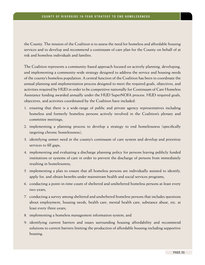the County. The mission of the Coalition is to assess the need for homeless and affordable housing services and to develop and recommend a continuum of care plan for the County on behalf of at risk and homeless individuals and families.

The Coalition represents a community-based approach focused on actively planning, developing, and implementing a community-wide strategy designed to address the service and housing needs of the county's homeless population. A central function of the Coalition has been to coordinate the annual planning and implementation process designed to meet the required goals, objectives, and activities required by HUD in order to be competitive nationally for Continuum of Care Homeless Assistance funding awarded annually under the HUD SuperNOFA process. HUD required goals, objectives, and activities coordinated by the Coalition have included:

- 1. ensuring that there is a wide-range of public and private agency representatives including homeless and formerly homeless persons actively involved in the Coalition's plenary and committee meetings;
- 2. implementing a planning process to develop a strategy to end homelessness (specifically targeting chronic homelessness);
- 3. identifying unmet need in the county's continuum of care system and develop and prioritize services to fill gaps;
- 4. implementing and evaluating a discharge planning policy for persons leaving publicly funded institutions or systems of care in order to prevent the discharge of persons from immediately resulting in homelessness;
- 5. implementing a plan to ensure that all homeless persons are individually assisted to identify, apply for, and obtain benefits under mainstream health and social services programs;
- 6. conducting a point-in-time count of sheltered and unsheltered homeless persons at-least every two-years;
- 7. conducting a survey among sheltered and unsheltered homeless persons that includes questions about employment, housing needs, health care, mental health care, substance abuse, etc. at least every three-years;
- 8. implementing a homeless management information system; and
- 9. identifying current barriers and issues surrounding housing affordability and recommend solutions to current barriers limiting the production of affordable housing including supportive housing.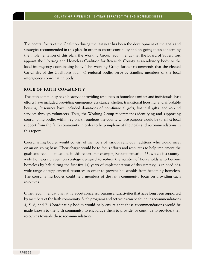The central focus of the Coalition during the last year has been the development of the goals and strategies recommended in this plan. In order to ensure continuity and on-going focus concerning the implementation of this plan, the Working Group recommends that the Board of Supervisors appoint the Housing and Homeless Coalition for Riverside County as an advisory body to the local interagency coordinating body. The Working Group further recommends that the elected Co-Chairs of the Coalition's four (4) regional bodies serve as standing members of the local interagency coordinating body.

#### **Role of Faith Community**

The faith community has a history of providing resources to homeless families and individuals. Past efforts have included providing emergency assistance, shelter, transitional housing, and affordable housing. Resources have included donations of non-financial gifts, financial gifts, and in-kind services through volunteers. Thus, the Working Group recommends identifying and supporting coordinating bodies within regions throughout the county whose purpose would be to enlist local support from the faith community in order to help implement the goals and recommendations in this report.

Coordinating bodies would consist of members of various religious traditions who would meet on an on-going basis. Their charge would be to focus efforts and resources to help implement the goals and recommendations in this report. For example, Recommendation #3, which is a countywide homeless prevention strategy designed to reduce the number of households who become homeless by half during the first five (5) years of implementation of this strategy, is in need of a wide-range of supplemental resources in order to prevent households from becoming homeless. The coordinating bodies could help members of the faith community focus on providing such resources.

Other recommendations in this report concern programs and activities that have long been supported by members of the faith community. Such programs and activities can be found in recommendations 4, 5, 6, and 7. Coordinating bodies would help ensure that these recommendations would be made known to the faith community to encourage them to provide, or continue to provide, their resources towards these recommendations.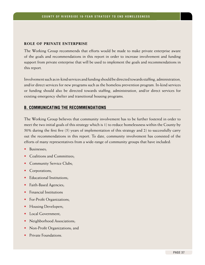#### **Role of Private Enterprise**

The Working Group recommends that efforts would be made to make private enterprise aware of the goals and recommendations in this report in order to increase involvement and funding support from private enterprise that will be used to implement the goals and recommendations in this report.

Involvement such as in-kind services and funding should be directed towards staffing, administration, and/or direct services for new programs such as the homeless prevention program. In-kind services or funding should also be directed towards staffing, administration, and/or direct services for existing emergency shelter and transitional housing programs.

## **B. Communicating the Recommendations**

The Working Group believes that community involvement has to be further fostered in order to meet the two initial goals of this strategy which is 1) to reduce homelessness within the County by 50% during the first five (5) years of implementation of this strategy and 2) to successfully carry out the recommendations in this report. To date, community involvement has consisted of the efforts of many representatives from a wide-range of community groups that have included:

- Businesses;
- Coalitions and Committees;
- Community Service Clubs:
- Corporations;
- Educational Institutions,
- Faith-Based Agencies:
- Financial Institutions
- For-Profit Organizations;
- Housing Developers:
- Local Government;
- Neighborhood Associations;
- Non-Profit Organizations; and
- Private Foundations.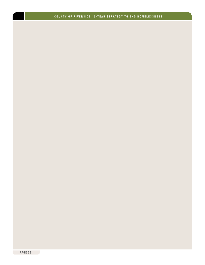#### **COUNTY OF RIVERSIDE 10-YEAR STRATEGY TO END HOMELESSNESS**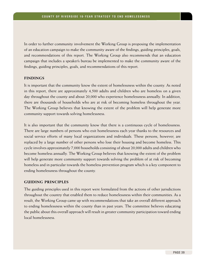In order to further community involvement the Working Group is proposing the implementation of an education campaign to make the community aware of the findings, guiding principles, goals, and recommendations of this report. The Working Group also recommends that an education campaign that includes a speaker's bureau be implemented to make the community aware of the findings, guiding principles, goals, and recommendations of this report.

#### **Findings**

It is important that the community know the extent of homelessness within the county. As noted in this report, there are approximately 4,500 adults and children who are homeless on a given day throughout the county and about 20,000 who experience homelessness annually. In addition, there are thousands of households who are at risk of becoming homeless throughout the year. The Working Group believes that knowing the extent of the problem will help generate more community support towards solving homelessness.

It is also important that the community know that there is a continuous cycle of homelessness. There are large numbers of persons who exit homelessness each year thanks to the resources and social service efforts of many local organizations and individuals. These persons, however, are replaced by a large number of other persons who lose their housing and become homeless. This cycle involves approximately 7,000 households consisting of about 20,000 adults and children who become homeless annually. The Working Group believes that knowing the extent of the problem will help generate more community support towards solving the problem of at risk of becoming homeless and in particular towards the homeless prevention program which is a key component to ending homelessness throughout the county.

#### **Guiding Principles**

The guiding principles used in this report were formulated from the actions of other jurisdictions throughout the country that enabled them to reduce homelessness within their communities. As a result, the Working Group came up with recommendations that take an overall different approach to ending homelessness within the county than in past years. The committee believes educating the public about this overall approach will result in greater community participation toward ending local homelessness.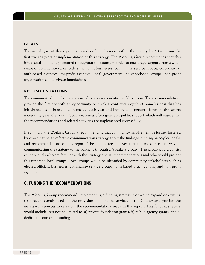## **Goals**

The initial goal of this report is to reduce homelessness within the county by 50% during the first five (5) years of implementation of this strategy. The Working Group recommends that this initial goal should be promoted throughout the county in order to encourage support from a widerange of community stakeholders including businesses, community service groups, corporations, faith-based agencies, for-profit agencies, local government, neighborhood groups, non-profit organizations, and private foundations.

#### **Recommendations**

The community should be made aware of the recommendations of this report. The recommendations provide the County with an opportunity to break a continuous cycle of homelessness that has left thousands of households homeless each year and hundreds of persons living on the streets incessantly year after year. Public awareness often generates public support which will ensure that the recommendations and related activities are implemented successfully.

In summary, the Working Group is recommending that community involvement be further fostered by coordinating an effective communication strategy about the findings, guiding principles, goals, and recommendations of this report. The committee believes that the most effective way of communicating the strategy to the public is through a "speakers group." This group would consist of individuals who are familiar with the strategy and its recommendations and who would present this report to local groups. Local groups would be identified by community stakeholders such as elected officials, businesses, community service groups, faith-based organizations, and non-profit agencies.

#### **C. Funding the Recommendations**

The Working Group recommends implementing a funding strategy that would expand on existing resources presently used for the provision of homeless services in the County and provide the necessary resources to carry out the recommendations made in this report. This funding strategy would include, but not be limited to, a) private foundation grants; b) public agency grants; and c) dedicated sources of funding.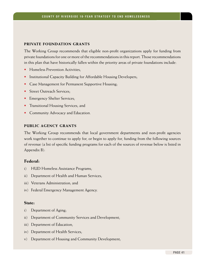#### **Private Foundation Grants**

The Working Group recommends that eligible non-profit organizations apply for funding from private foundations for one or more of the recommendations in this report. Those recommendations in this plan that have historically fallen within the priority areas of private foundations include:

- Homeless Prevention Activities;
- Institutional Capacity Building for Affordable Housing Developers;
- Case Management for Permanent Supportive Housing;
- Street Outreach Services;
- Emergency Shelter Services;
- Transitional Housing Services, and
- Community Advocacy and Education.

#### **Public Agency Grants**

The Working Group recommends that local government departments and non-profit agencies work together to continue to apply for, or begin to apply for, funding from the following sources of revenue (a list of specific funding programs for each of the sources of revenue below is listed in Appendix B):

#### **Federal:**

- i) HUD Homeless Assistance Programs;
- ii) Department of Health and Human Services;
- iii) Veterans Administration; and
- iv) Federal Emergency Management Agency.

#### **State:**

- i) Department of Aging;
- ii) Department of Community Services and Development;
- iii) Department of Education;
- iv) Department of Health Services;
- v) Department of Housing and Community Development;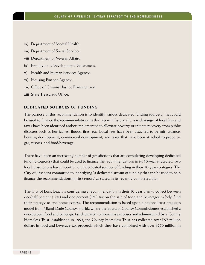- vi) Department of Mental Health;
- vii) Department of Social Services;
- viii) Department of Veteran Affairs;
- ix) Employment Development Department;
- x) Health and Human Services Agency;
- xi) Housing Finance Agency;
- xii) Office of Criminal Justice Planning; and
- xiii) State Treasurer's Office.

#### **Dedicated Sources of Funding**

The purpose of this recommendation is to identify various dedicated funding source(s) that could be used to finance the recommendations in this report. Historically, a wide-range of local fees and taxes have been identified and/or implemented to alleviate poverty or initiate recovery from public disasters such as hurricanes, floods, fires, etc. Local fees have been attached to permit issuance, housing development, commercial development, and taxes that have been attached to property, gas, resorts, and food/beverage.

There have been an increasing number of jurisdictions that are considering developing dedicated funding source(s) that could be used to finance the recommendations in its 10-year strategies. Two local jurisdictions have recently noted dedicated sources of funding in their 10-year strategies. The City of Pasadena committed to identifying "a dedicated stream of funding that can be used to help finance the recommendations in (its) report" as stated in its recently completed plan.

The City of Long Beach is considering a recommendation in their 10-year plan to collect between one-half percent (.5%) and one percent (1%) tax on the sale of food and beverages to help fund their strategy to end homelessness. The recommendation is based upon a national best practices model from Miami-Dade County, Florida where the Board of County Commissioners established a one-percent food and beverage tax dedicated to homeless purposes and administered by a County Homeless Trust. Established in 1993, the County Homeless Trust has collected over \$97 million dollars in food and beverage tax proceeds which they have combined with over \$250 million in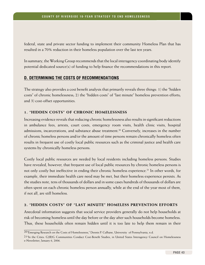federal, state and private sector funding to implement their community Homeless Plan that has resulted in a 70% reduction in their homeless population over the last ten years.

In summary, the Working Group recommends that the local interagency coordinating body identify potential dedicated source(s) of funding to help finance the recommendations in this report.

## **D. Determining the Costs of Recommendations**

The strategy also provides a cost benefit analysis that primarily reveals three things: 1) the "hidden costs" of chronic homelessness; 2) the "hidden costs" of "last minute" homeless prevention efforts; and 3) cost-offset opportunities.

#### **1. "Hidden Costs" of Chronic Homelessness**

Increasing evidence reveals that reducing chronic homelessness also results in significant reductions in ambulance fees, arrests, court costs, emergency room visits, health clinic visits, hospital admissions, incarcerations, and substance abuse treatment.<sup>20</sup> Conversely, increases in the number of chronic homeless persons and/or the amount of time persons remain chronically homeless often results in frequent use of costly local public resources such as the criminal justice and health care systems by chronically homeless persons.

Costly local public resources are needed by local residents including homeless persons. Studies have revealed, however, that frequent use of local public resources by chronic homeless persons is not only costly but ineffective in ending their chronic homeless experience.<sup>21</sup> In other words, for example, their immediate health care need may be met, but their homeless experience persists. As the studies note, tens of thousands of dollars and in some cases hundreds of thousands of dollars are often spent on each chronic homeless person annually, while at the end of the year most of them, if not all, are still homeless.

#### **2. "Hidden Costs" of "Last Minute" Homeless Prevention Efforts**

Anecdotal information suggests that social service providers generally do not help households at risk of becoming homeless until the day before or the day after such households become homeless. Thus, these households often remain hidden until it is too late to help them remain in their

<sup>20&</sup>quot;Emerging Research on the Costs of Homelessness," Dennis P. Culhane, University of Pennsylvania, n.d.

<sup>21&</sup>quot;In the Cities: G2B2G Communities Conduct Cost-Benefit Studies, in United States Interagency Council on Homelessness e-Newsletter, January 6, 2006.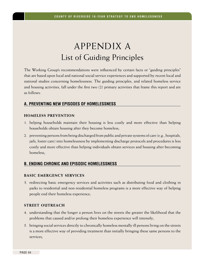# Appendix A List of Guiding Principles

The Working Group's recommendations were influenced by certain facts or "guiding principles" that are based upon local and national social service experiences and supported by recent local and national studies concerning homelessness. The guiding principles, and related homeless service and housing activities, fall under the first two (2) primary activities that frame this report and are as follows:

# **A. Preventing New Episodes of Homelessness**

#### **Homeless Prevention**

- 1. helping households maintain their housing is less costly and more effective than helping households obtain housing after they become homeless;
- 2. preventing persons from being discharged from public and private systems of care (e.g., hospitals, jails, foster care) into homelessness by implementing discharge protocols and procedures is less costly and more effective than helping individuals obtain services and housing after becoming homeless;

# **B. Ending Chronic and Episodic Homelessness**

#### **Basic Emergency Services**

3. redirecting basic emergency services and activities such as distributing food and clothing in parks to residential and non-residential homeless programs is a more effective way of helping people end their homeless experience;

### **Street Outreach**

- 4. understanding that the longer a person lives on the streets the greater the likelihood that the problems that caused and/or prolong their homeless experience will intensify;
- 5. bringing social services directly to chronically homeless mentally ill persons living on the streets is a more effective way of providing treatment than initially bringing these same persons to the services;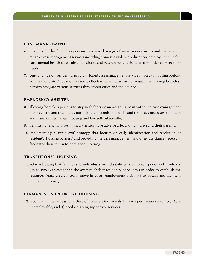## **Case Management**

- 6. recognizing that homeless persons have a wide-range of social service needs and that a widerange of case management services including domestic violence, education, employment, health care, mental health care, substance abuse, and veteran benefits is needed in order to meet their needs;
- 7. centralizing non-residential program-based case management services linked to housing options within a "one-stop" location is a more effective means of service provision than having homeless persons navigate various services throughout cities and the county;

#### **Emergency Shelter**

- 8. allowing homeless persons to stay in shelters on an on-going basis without a case management plan is costly and often does not help them acquire the skills and resources necessary to obtain and maintain permanent housing and live self-sufficiently;
- 9. permitting lengthy stays in mass shelters have adverse affects on children and their parents;
- 10.implementing a "rapid exit" strategy that focuses on early identification and resolution of resident's "housing barriers" and providing the case management and other assistance necessary facilitates their return to permanent housing;

#### **Transitional Housing**

11.acknowledging that families and individuals with disabilities need longer periods of residency (up to two (2) years) than the average shelter residency of 90 days in order to establish the resources (e.g., credit history, move-in costs, employment stability) to obtain and maintain permanent housing;

#### **Permanent Supportive Housing**

12.recognizing that at least one-third of homeless individuals 1) have a permanent disability; 2) are unemployable; and 3) need on-going supportive services.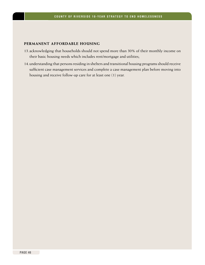#### **Permanent Affordable Housing**

- 13.acknowledging that households should not spend more than 30% of their monthly income on their basic housing needs which includes rent/mortgage and utilities;
- 14.understanding that persons residing in shelters and transitional housing programs should receive sufficient case management services and complete a case management plan before moving into housing and receive follow-up care for at least one (1) year.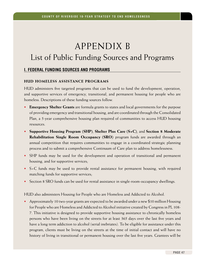# Appendix B List of Public Funding Sources and Programs

# **I. Federal Funding Sources and Programs**

#### **HUD Homeless Assistance Programs**

HUD administers five targeted programs that can be used to fund the development, operation, and supportive services of emergency, transitional, and permanent housing for people who are homeless. Descriptions of these funding sources follow.

- **• Emergency Shelter Grants** are formula grants to states and local governments for the purpose of providing emergency and transitional housing, and are coordinated through the Consolidated Plan, a 5-year comprehensive housing plan required of communities to access HUD housing resources.
- **• Supportive Housing Program (SHP)**, **Shelter Plus Care (S+C)**, and **Section 8 Moderate Rehabilitation Single Room Occupancy (SRO)** program funds are awarded through an annual competition that requires communities to engage in a coordinated strategic planning process and to submit a comprehensive Continuum of Care plan to address homelessness.
- **•** SHP funds may be used for the development and operation of transitional and permanent housing, and for supportive services,
- **•** S+C funds may be used to provide rental assistance for permanent housing, with required matching funds for supportive services;
- **•** Section 8 SRO funds can be used for rental assistance in single-room-occupancy dwellings.

HUD also administers Housing for People who are Homeless and Addicted to Alcohol.

**•** Approximately 10 two-year grants are expected to be awarded under a new \$10 million Housing for People who are Homeless and Addicted to Alcohol initiative created by Congress in PL 108- 7. This initiative is designed to provide supportive housing assistance to chronically homeless persons who have been living on the streets for at least 365 days over the last five years and have a long term addiction to alcohol (serial inebriates). To be eligible for assistance under this program, clients must be living on the streets at the time of initial contact and will have no history of living in transitional or permanent housing over the last five years. Grantees will be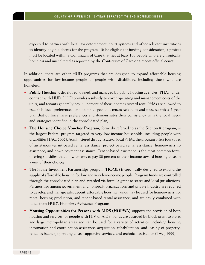expected to partner with local law enforcement, court systems and other relevant institutions to identify eligible clients for the program. To be eligible for funding consideration, a project must be located within a Continuum of Care that has at least 100 people who are chronically homeless and unsheltered as reported by the Continuum of Care or a recent official count.

In addition, there are other HUD programs that are designed to expand affordable housing opportunities for low-income people or people with disabilities, including those who are homeless.

- **Public Housing** is developed, owned, and managed by public housing agencies (PHAs) under contract with HUD. HUD provides a subsidy to cover operating and management costs of the units, and tenants generally pay 30 percent of their incomes toward rent. PHAs are allowed to establish local preferences for income targets and tenant selection and must submit a 5-year plan that outlines these preferences and demonstrates their consistency with the local needs and strategies identified in the consolidated plan;
- **The Housing Choice Voucher Program**, formerly referred to as the Section 8 program, is the largest Federal program targeted to very low-income households, including people with disabilities (TAC, 2002). Administered through state or local PHAs, the program offers four types of assistance: tenant-based rental assistance; project-based rental assistance; homeownership assistance; and down payment assistance. Tenant-based assistance is the most common form, offering subsidies that allow tenants to pay 30 percent of their income toward housing costs in a unit of their choice;
- **The Home Investment Partnerships program (HOME)** is specifically designed to expand the supply of affordable housing for low and very low-income people. Program funds are controlled through the consolidated plan and awarded via formula grant to states and local jurisdictions. Partnerships among government and nonprofit organizations and private industry are required to develop and manage safe, decent, affordable housing. Funds may be used for homeownership, rental housing production, and tenant-based rental assistance, and are easily combined with funds from HUD's Homeless Assistance Programs;
- **Housing Opportunities for Persons with AIDS (HOPWA)** supports the provision of both housing and services for people with HIV or AIDS. Funds are awarded by block grant to states and large metropolitan areas and can be used for a variety of activities, including housing information and coordination assistance; acquisition, rehabilitation, and leasing of property; rental assistance; operating costs; supportive services; and technical assistance  $(TAC, 1999)$ ;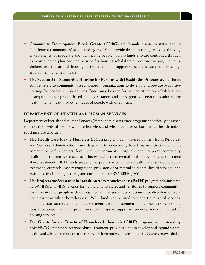- **Community Development Block Grants (CDBG)** are formula grants to states and to "entitlement communities" (as defined by HUD) to provide decent housing and suitable living environments for moderate and low-income people. CDBG funds also are controlled through the consolidated plan and can be used for housing rehabilitation or construction, including shelters and transitional housing facilities, and for supportive services such as counseling, employment, and health care;
- **The Section 811 Supportive Housing for Persons with Disabilities Program** awards funds competitively to community based nonprofit organizations to develop and operate supportive housing for people with disabilities. Funds may be used for new construction, rehabilitation, or acquisition; for project-based rental assistance; and for supportive services to address the health, mental health, or other needs of people with disabilities.

#### **Department of Health and Human Services**

Department of Health and Human Services (HHS) administers three programs specifically designed to meet the needs of people who are homeless and who may have serious mental health and/or substance use disorders.

- **The Health Care for the Homeless (HCH)** program, administered by the Health Resources and Services Administration, awards grants to community-based organizations—including community health centers, local health departments, hospitals, and nonprofit community coalitions—to improve access to primary health care, mental health services, and substance abuse treatment. HCH funds support the provision of primary health care, substance abuse treatment, outreach, case management, provision of or referral to mental health services, and assistance in obtaining housing and entitlements (HRSA BPHC, 2001);
- **The Projects for Assistance in Transition from Homelessness (PATH)** program, administered by SAMHSA's CMHS, awards formula grants to states and territories to support communitybased services for people with serious mental illnesses and/or substance use disorders who are homeless or at risk of homelessness. PATH funds can be used to support a range of services, including outreach, screening and assessment, case management, mental health services, and substance abuse treatment, provision of or linkage to supportive services, and a limited set of housing services;
- **The Grants for the Benefit of Homeless Individuals (GBHI)** program, administered by SAMHSA's Center for Substance Abuse Treatment, provides funds to develop and expand mental health and substance abuse treatment services for people who are homeless. Grants are awarded to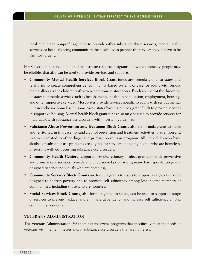local public and nonprofit agencies to provide either substance abuse services, mental health services, or both, allowing communities the flexibility to provide the services they believe to be the most urgent.

HHS also administers a number of mainstream resource programs, for which homeless people may be eligible, that also can be used to provide services and supports.

- **Community Mental Health Services Block Grant** funds are formula grants to states and territories to create comprehensive, community-based systems of care for adults with serious mental illnesses and children with severe emotional disturbances. Funds are used at the discretion of states to provide services such as health, mental health, rehabilitation, employment, housing, and other supportive services. Most states provide services specific to adults with serious mental illnesses who are homeless. In some cases, states have used block grant funds to provide services in supportive housing. Mental health block grant funds also may be used to provide services for individuals with substance use disorders within certain guidelines;
- **Substance Abuse Prevention and Treatment Block Grants** also are formula grants to states and territories, in this case, to fund alcohol prevention and treatment activities, prevention and treatment related to other drugs, and primary prevention programs. All individuals who have alcohol or substance use problems are eligible for services, including people who are homeless, or persons with co-occurring substance use disorders;
- **Community Health Centers**, supported by discretionary project grants, provide preventive and primary care services to medically underserved populations; many have specific programs designed to serve individuals who are homeless;
- **Community Services Block Grants** are formula grants to states to support a range of services designed to address poverty and to promote self-sufficiency among low-income members of communities, including those who are homeless;
- **Social Services Block Grants**, also formula grants to states, can be used to support a range of services to prevent, reduce, and eliminate dependency and increase self-sufficiency among community residents.

#### **Veterans Administration**

The Veterans Administration (VA) administers several programs that specifically meet the needs of veterans with mental illnesses and/or substance use disorders that are homeless.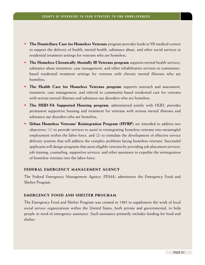- **The Domiciliary Care for Homeless Veterans** program provides funds to VA medical centers to support the delivery of health, mental health, substance abuse, and other social services in residential treatment settings for veterans who are homeless;
- **The Homeless Chronically Mentally Ill Veterans program** supports mental health services, substance abuse treatment, case management, and other rehabilitative services in communitybased residential treatment settings for veterans with chronic mental illnesses who are homeless;
- **The Health Care for Homeless Veterans program** supports outreach and assessment, treatment, case management, and referral to community-based residential care for veterans with serious mental illnesses and substance use disorders who are homeless;
- **The HUD-VA Supported Housing program**, administered jointly with HUD, provides permanent supportive housing and treatment for veterans with serious mental illnesses and substance use disorders who are homeless;
- **Urban Homeless Veterans' Reintegration Program (HVRP)** are intended to address two objectives: (1) to provide services to assist in reintegrating homeless veterans into meaningful employment within the labor force, and (2) to stimulate the development of effective service delivery systems that will address the complex problems facing homeless veterans. Successful applicants will design programs that assist eligible veterans by providing job placement services, job training, counseling, supportive services, and other assistance to expedite the reintegration of homeless veterans into the labor force.

# **Federal Emergency Management Agency**

The Federal Emergency Management Agency (FEMA) administers the Emergency Food and Shelter Program.

#### **Emergency Food and Shelter Program**

The Emergency Food and Shelter Program was created in 1983 to supplement the work of local social service organizations within the United States, both private and governmental, to help people in need of emergency assistance. Such assistance primarily includes funding for food and shelter.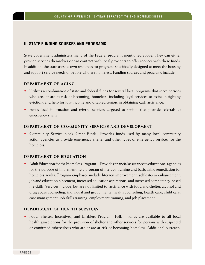## **II. State Funding Sources and Programs**

State government administers many of the Federal programs mentioned above. They can either provide services themselves or can contract with local providers to offer services with these funds. In addition, the state uses its own resources for programs specifically designed to meet the housing and support service needs of people who are homeless. Funding sources and programs include:

#### **Department of Aging**

- Utilizes a combination of state and federal funds for several local programs that serve persons who are, or are at risk of becoming, homeless, including legal services to assist in fighting evictions and help for low-income and disabled seniors in obtaining cash assistance;
- Funds local information and referral services targeted to seniors that provide referrals to emergency shelter.

#### **Department of Community Services and Development**

• Community Service Block Grant Funds—Provides funds used by many local community action agencies to provide emergency shelter and other types of emergency services for the homeless.

#### **Department of Education**

• Adult Education for the Homeless Program—Provides financial assistance to educational agencies for the purpose of implementing a program of literacy training and basic skills remediation for homeless adults. Program emphases include literacy improvement, self-esteem enhancement, job and education placement, increased education aspirations, and increased competency-based life skills. Services include, but are not limited to, assistance with food and shelter, alcohol and drug abuse counseling, individual and group mental health counseling, health care, child care, case management, job skills training, employment training, and job placement.

#### **Department of Health Services**

• Food, Shelter, Incentives, and Enablers Program (FSIE)—Funds are available to all local health jurisdictions for the provision of shelter and other services for persons with suspected or confirmed tuberculosis who are or are at risk of becoming homeless. Additional outreach,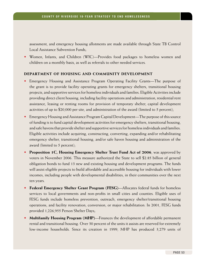assessment, and emergency housing allotments are made available through State TB Control Local Assistance Subvention Funds;

• Women, Infants, and Children (WIC)—Provides food packages to homeless women and children on a monthly basis, as well as referrals to other needed services.

#### **Department of Housing and Community Development**

- Emergency Housing and Assistance Program Operating Facility Grants—The purpose of the grant is to provide facility operating grants for emergency shelters, transitional housing projects, and supportive services for homeless individuals and families. Eligible Activities include providing direct client housing, including facility operations and administration, residential rent assistance, leasing or renting rooms for provision of temporary shelter, capital development activities of up to \$20,000 per site, and administration of the award (limited to 5 percent);
- Emergency Housing and Assistance Program Capital Development—The purpose of this source of funding is to fund capital development activities for emergency shelters, transitional housing, and safe havens that provide shelter and supportive services for homeless individuals and families. Eligible activities include acquiring, constructing, converting, expanding and/or rehabilitating emergency shelter, transitional housing, and/or safe haven housing and administration of the award (limited to 5 percent);
- **Proposition 1C, Housing Emergency Shelter Trust Fund Act of 2006**, was approved by voters in November 2006. This measure authorized the State to sell \$2.85 billion of general obligation bonds to fund 13 new and existing housing and development programs. The funds will assist eligible projects to build affordable and accessible housing for individuals with lower incomes, including people with developmental disabilities, in their communities over the next ten years.
- **Federal Emergency Shelter Grant Program (FESG)**—Allocates federal funds for homeless services to local governments and non-profits in small cities and counties. Eligible uses of FESG funds include homeless prevention, outreach, emergency shelter/transitional housing operations, and facility renovation, conversion, or major rehabilitation. In 2001, FESG funds provided 1,226,955 Person Shelter Days;
- **Multifamily Housing Program (MHP)**—Finances the development of affordable permanent rental and transitional housing. Over 30 percent of the units it assists are reserved for extremely low-income households. Since its creation in 1999, MHP has produced 3,279 units of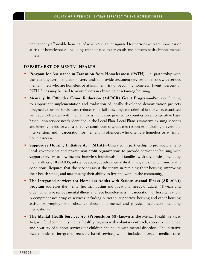permanently affordable housing, of which 531 are designated for persons who are homeless or at risk of homelessness, including emancipated foster youth and persons with chronic mental illness.

#### **Department of Mental Health**

- **Program for Assistance in Transition from Homelessness (PATH)**—In partnership with the federal government, administers funds to provide treatment services to persons with serious mental illness who are homeless or at imminent risk of becoming homeless. Twenty percent of PATH funds may be used to assist clients in obtaining or retaining housing;
- **Mentally Ill Offender Crime Reduction (MIOCR) Grant Program**—Provides funding to support the implementation and evaluation of locally developed demonstration projects designed to curb recidivism and reduce crime, jail crowding, and criminal justice costs associated with adult offenders with mental illness. Funds are granted to counties on a competitive basis based upon service needs identified in the Local Plan. Local Plans summarize existing services and identify needs for a cost-effective continuum of graduated responses, including prevention, intervention, and incarceration for mentally ill offenders who often are homeless or at risk of homelessness;
- **Supportive Housing Initiative Act (SHIA)**—Operated in partnership to provide grants to local governments and private non-profit organizations to provide permanent housing with support services to low-income homeless individuals and families with disabilities, including mental illness, HIV/AIDS, substance abuse, developmental disabilities, and other chronic health conditions. Requires that the services assist the tenant in retaining their housing, improving their health status, and maximizing their ability to live and work in the community;
- **The Integrated Services for Homeless Adults with Serious Mental Illness (AB 2034) program** addresses the mental health, housing and vocational needs of adults, 18 years and older, who have serious mental illness and face homelessness, incarceration, or hospitalization. A comprehensive array of services including outreach, supportive housing and other housing assistance, employment, substance abuse, and mental and physical healthcare including medications;
- • **The Mental Health Services Act (Proposition 63)** known as the Mental Health Services Act, will fund community mental health programs with voluntary outreach, access to medicines, and a variety of support services for children and adults with mental disorders. The initiative uses a model of integrated, recovery-based services, which includes outreach, medical care,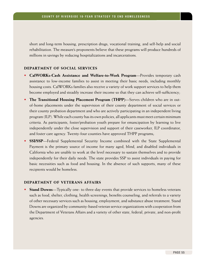short and long-term housing, prescription drugs, vocational training, and self-help and social rehabilitation. The measure's proponents believe that these programs will produce hundreds of millions in savings by reducing hospitalizations and incarcerations.

#### **Department of Social Services**

- **CalWORKs-Cash Assistance and Welfare-to-Work Program**—Provides temporary cash assistance to low-income families to assist in meeting their basic needs, including monthly housing costs. CalWORKs families also receive a variety of work support services to help them become employed and steadily increase their income so that they can achieve self-sufficiency;
- **The Transitional Housing Placement Program (THPP)**—Serves children who are in outof-home placements under the supervision of their county department of social services or their county probation department and who are actively participating in an independent living program (ILP). While each county has its own policies, all applicants must meet certain minimum criteria. As participants, foster/probation youth prepare for emancipation by learning to live independently under the close supervision and support of their caseworker, ILP coordinator, and foster care agency. Twenty-four counties have approved THPP programs;
- **SSI/SSP**—Federal Supplemental Security Income combined with the State Supplemental Payment is the primary source of income for many aged, blind, and disabled individuals in California who are unable to work at the level necessary to sustain themselves and to provide independently for their daily needs. The state provides SSP to assist individuals in paying for basic necessities such as food and housing. In the absence of such supports, many of these recipients would be homeless.

#### **Department of Veterans Affairs**

**Stand Downs—Typically one- to three-day events that provide services to homeless veterans** such as food, shelter, clothing, health screenings, benefits counseling, and referrals to a variety of other necessary services such as housing, employment, and substance abuse treatment. Stand Downs are organized by community-based veteran service organizations with cooperation from the Department of Veterans Affairs and a variety of other state, federal, private, and non-profit agencies.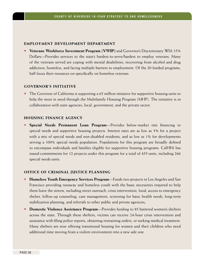#### **Employment Development Department**

• **Veterans Workforce Investment Program (VWIP)** and Governor's Discretionary WIA 15% Dollars—Provides services to the state's hardest-to-serve/hardest to employ veterans. Many of the veterans served are coping with mental disabilities, recovering from alcohol and drug addiction, homeless, and facing multiple barriers to employment. Of the 20 funded programs, half focus their resources on specifically on homeless veterans.

#### **Governor's Initiative**

• The Governor of California is supporting a 65 million imitative for supportive housing units to help the most in need through the Multifamily Housing Program (MHP). The initiative is in collaboration with state agencies, local, government, and the private sector.

#### **Housing Finance Agency**

• **Special Needs Permanent Loan Program**—Provides below-market rate financing to special needs and supportive housing projects. Interest rates are as low as 3% for a project with a mix of special needs and non-disabled residents, and as low as 1% for developments serving a 100% special needs population. Populations for this program are broadly defined to encompass individuals and families eligible for supportive housing programs. CalHFA has issued commitments for 12 projects under this program for a total of 455 units, including 266 special needs units.

#### **Office of Criminal Justice Planning**

- **Homeless Youth Emergency Services Program**—Funds two projects in Los Angeles and San Francisco providing runaway and homeless youth with the basic necessities required to help them leave the streets, including street outreach, crisis intervention, food, access to emergency shelter, follow-up counseling, case management, screening for basic health needs, long-term stabilization planning, and referrals to other public and private agencies;
- **Domestic Violence Assistance Program**—Provides funding to 85 battered women's shelters across the state. Through these shelters, victims can receive 24-hour crisis intervention and assistance with filing police reports, obtaining restraining orders, or seeking medical treatment. Many shelters are now offering transitional housing for women and their children who need additional time moving from a violent environment into a new safe one.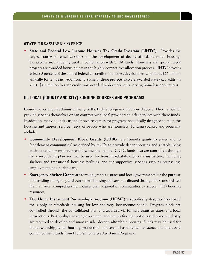#### **State Treasurer's Office**

• **State and Federal Low Income Housing Tax Credit Program (LIHTC)**—Provides the largest source of rental subsidies for the development of deeply affordable rental housing. Tax credits are frequently used in combination with SHIA funds. Homeless and special needs projects are awarded bonus points in the highly competitive allocation process. LIHTC devotes at least 5 percent of the annual federal tax credit to homeless developments, or about \$25 million annually for ten years. Additionally, some of these projects also are awarded state tax credits. In 2001, \$4.8 million in state credit was awarded to developments serving homeless populations.

### **III. Local (County and City) Funding Sources and Programs**

County governments administer many of the Federal programs mentioned above. They can either provide services themselves or can contract with local providers to offer services with these funds. In addition, many counties use their own resources for programs specifically designed to meet the housing and support service needs of people who are homeless. Funding sources and programs include:

- **Community Development Block Grants (CDBG)** are formula grants to states and to "entitlement communities" (as defined by HUD) to provide decent housing and suitable living environments for moderate and low-income people. CDBG funds also are controlled through the consolidated plan and can be used for housing rehabilitation or construction, including shelters and transitional housing facilities, and for supportive services such as counseling, employment, and health care;
- **Emergency Shelter Grants** are formula grants to states and local governments for the purpose of providing emergency and transitional housing, and are coordinated through the Consolidated Plan, a 5-year comprehensive housing plan required of communities to access HUD housing resources;
- **The Home Investment Partnerships program (HOME)** is specifically designed to expand the supply of affordable housing for low and very low-income people. Program funds are controlled through the consolidated plan and awarded via formula grant to states and local jurisdictions. Partnerships among government and nonprofit organizations and private industry are required to develop and manage safe, decent, affordable housing. Funds may be used for homeownership, rental housing production, and tenant-based rental assistance, and are easily combined with funds from HUD's Homeless Assistance Programs.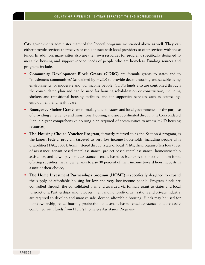City governments administer many of the Federal programs mentioned above as well. They can either provide services themselves or can contract with local providers to offer services with these funds. In addition, many cities also use their own resources for programs specifically designed to meet the housing and support service needs of people who are homeless. Funding sources and programs include:

- **Community Development Block Grants (CDBG)** are formula grants to states and to "entitlement communities" (as defined by HUD) to provide decent housing and suitable living environments for moderate and low-income people. CDBG funds also are controlled through the consolidated plan and can be used for housing rehabilitation or construction, including shelters and transitional housing facilities, and for supportive services such as counseling, employment, and health care;
- **Emergency Shelter Grants** are formula grants to states and local governments for the purpose of providing emergency and transitional housing, and are coordinated through the Consolidated Plan, a 5-year comprehensive housing plan required of communities to access HUD housing resources;
- **The Housing Choice Voucher Program**, formerly referred to as the Section 8 program, is the largest Federal program targeted to very low-income households, including people with disabilities (TAC, 2002). Administered through state or local PHAs, the program offers four types of assistance: tenant-based rental assistance; project-based rental assistance; homeownership assistance; and down payment assistance. Tenant-based assistance is the most common form, offering subsidies that allow tenants to pay 30 percent of their income toward housing costs in a unit of their choice;
- **The Home Investment Partnerships program (HOME)** is specifically designed to expand the supply of affordable housing for low and very low-income people. Program funds are controlled through the consolidated plan and awarded via formula grant to states and local jurisdictions. Partnerships among government and nonprofit organizations and private industry are required to develop and manage safe, decent, affordable housing. Funds may be used for homeownership, rental housing production, and tenant-based rental assistance, and are easily combined with funds from HUD's Homeless Assistance Programs.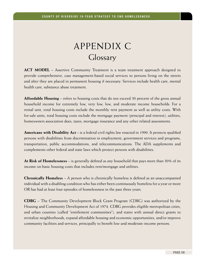# Appendix C Glossary

**ACT MODEL** – Assertive Community Treatment is a team treatment approach designed to provide comprehensive, case management-based social services to persons living on the streets and after they are placed in permanent housing if necessary. Services include health care, mental health care, substance abuse treatment.

**Affordable Housing** – refers to housing costs that do not exceed 30 percent of the gross annual household income for extremely low, very low, low, and moderate income households. For a rental unit, total housing costs include the monthly rent payment as well as utility costs. With for-sale units, total housing costs include the mortgage payment (principal and interest), utilities, homeowners association dues, taxes, mortgage insurance and any other related assessments.

**Americans with Disability Act** – is a federal civil rights law enacted in 1990. It protects qualified persons with disabilities from discrimination in employment, government services and programs, transportation, public accommodations, and telecommunications. The ADA supplements and complements other federal and state laws which protect persons with disabilities.

**At Risk of Homelessness** – is generally defined as any household that pays more than 30% of its income on basic housing costs that includes rent/mortgage and utilities.

**Chronically Homeless** – A person who is chronically homeless is defined as an unaccompanied individual with a disabling condition who has either been continuously homeless for a year or more OR has had at least four episodes of homelessness in the past three years.

**CDBG** – The Community Development Block Grant Program (CDBG) was authorized by the Housing and Community Development Act of 1974. CDBG provides eligible metropolitan cities, and urban counties (called "entitlement communities"), and states with annual direct grants to revitalize neighborhoods, expand affordable housing and economic opportunities, and/or improve community facilities and services, principally to benefit low-and moderate-income persons.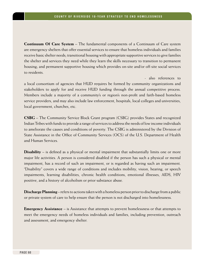**Continuum Of Care System** – The fundamental components of a Continuum of Care system are emergency shelters that offer essential services to ensure that homeless individuals and families receive basic shelter needs; transitional housing with appropriate supportive services to give families the shelter and services they need while they learn the skills necessary to transition to permanent housing; and permanent supportive housing which provides on-site and/or off-site social services to residents.

- also references to

a local consortium of agencies that HUD requires be formed by community organizations and stakeholders to apply for and receive HUD funding through the annual competitive process. Members include a majority of a community's or region's non-profit and faith-based homeless service providers, and may also include law enforcement, hospitals, local colleges and universities, local government, churches, etc.

**CSBG** – The Community Service Block Grant program (CSBG) provides States and recognized Indian Tribes with funds to provide a range of services to address the needs of low income individuals to ameliorate the causes and conditions of poverty. The CSBG is administered by the Division of State Assistance in the Office of Community Services (OCS) of the U.S. Department of Health and Human Services.

**Disability** – is defined as a physical or mental impairment that substantially limits one or more major life activities. A person is considered disabled if the person has such a physical or mental impairment, has a record of such an impairment, or is regarded as having such an impairment. "Disability" covers a wide range of conditions and includes mobility, vision, hearing, or speech impairments, learning disabilities, chronic health conditions, emotional illnesses, AIDS, HIV positive, and a history of alcoholism or prior substance abuse.

**Discharge Planning** – refers to actions taken with a homeless person prior to discharge from a public or private system of care to help ensure that the person is not discharged into homelessness.

**Emergency Assistance** – is Assistance that attempts to prevent homelessness or that attempts to meet the emergency needs of homeless individuals and families, including prevention, outreach and assessment, and emergency shelter.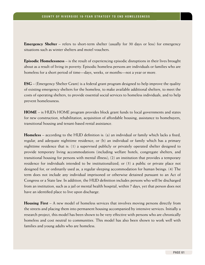**Emergency Shelter** – refers to short-term shelter (usually for 30 days or less) for emergency situations such as winter shelters and motel vouchers.

**Episodic Homelessness** – is the result of experiencing episodic disruptions in their lives brought about as a result of living in poverty. Episodic homeless persons are individuals or families who are homeless for a short period of time—days, weeks, or months—not a year or more.

**ESG** – (Emergency Shelter Grant) is a federal grant program designed to help improve the quality of existing emergency shelters for the homeless, to make available additional shelters, to meet the costs of operating shelters, to provide essential social services to homeless individuals, and to help prevent homelessness.

**HOME** – is HUD's HOME program provides block grant funds to local governments and states for new construction, rehabilitation, acquisition of affordable housing, assistance to homebuyers, transitional housing and tenant-based rental assistance.

**Homeless** – according to the HUD definition is: (a) an individual or family which lacks a fixed, regular, and adequate nighttime residence; or  $(b)$  an individual or family which has a primary nighttime residence that is: (1) a supervised publicly or privately operated shelter designed to provide temporary living accommodations (including welfare hotels, congregate shelters, and transitional housing for persons with mental illness), (2) an institution that provides a temporary residence for individuals intended to be institutionalized; or (3) a public or private place not designed for, or ordinarily used as, a regular sleeping accommodation for human beings. (4) The term does not include any individual imprisoned or otherwise detained pursuant to an Act of Congress or a State law. In addition, the HUD definition includes persons who will be discharged from an institution, such as a jail or mental health hospital, within 7 days, yet that person does not have an identified place to live upon discharge.

**Housing First** – A new model of homeless services that involves moving persons directly from the streets and placing them into permanent housing accompanied by intensive services. Initially a research project, this model has been shown to be very effective with persons who are chronically homeless and cost neutral to communities. This model has also been shown to work well with families and young adults who are homeless.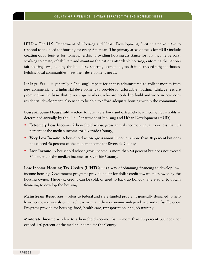**HUD** – The U.S. Department of Housing and Urban Development, fi rst created in 1937 to respond to the need for housing for every American. The primary areas of focus for HUD include creating opportunities for homeownership; providing housing assistance for low-income persons; working to create, rehabilitate and maintain the nation's affordable housing; enforcing the nation's fair housing laws; helping the homeless; spurring economic growth in distressed neighborhoods; helping local communities meet their development needs.

**Linkage Fee** – is generally a "housing" impact fee that is administered to collect monies from new commercial and industrial development to provide for affordable housing. Linkage fees are premised on the basis that lower-wage workers, who are needed to build and work in new nonresidential development, also need to be able to afford adequate housing within the community.

**Lower-income Household** – refers to low-, very low- and extremely low income households as determined annually by the U.S. Department of Housing and Urban Development (HUD).

- **Extremely Low Income:** A household whose gross annual income is equal to or less than 30 percent of the median income for Riverside County;
- **Very Low Income:** A household whose gross annual income is more than 30 percent but does not exceed 50 percent of the median income for Riverside County;
- Low Income: A household whose gross income is more than 50 percent but does not exceed 80 percent of the median income for Riverside County.

**Low Income Housing Tax Credits (LIHTC)** – is a way of obtaining financing to develop lowincome housing. Government programs provide dollar-for-dollar credit toward taxes owed by the housing owner. These tax credits can be sold, or used to back up bonds that are sold, to obtain financing to develop the housing.

**Mainstream Resources** – refers to federal and state-funded programs generally designed to help low-income individuals either achieve or retain their economic independence and self-sufficiency. Programs provide for housing, food, health care, transportation, and job training.

**Moderate Income** – refers to a household income that is more than 80 percent but does not exceed 120 percent of the median income for the County.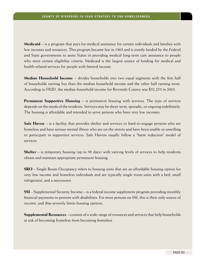**Medicaid** – is a program that pays for medical assistance for certain individuals and families with low incomes and resources. This program became law in 1965 and is jointly funded by the Federal and State governments to assist States in providing medical long-term care assistance to people who meet certain eligibility criteria. Medicaid is the largest source of funding for medical and health-related services for people with limited income.

**Median Household Income** – divides households into two equal segments with the first half of households earning less than the median household income and the other half earning more. According to HUD, the median household income for Riverside County was \$52,253 in 2005.

**Permanent Supportive Housing –** is permanent housing with services. The type of services depends on the needs of the residents. Services may be short-term, sporadic, or ongoing indefinitely. The housing is affordable and intended to serve persons who have very low incomes.

**Safe Haven** – is a facility that provides shelter and services to hard-to-engage persons who are homeless and have serious mental illness who are on the streets and have been unable or unwilling to participate in supportive services. Safe Havens usually follow a "harm reduction" model of services.

**Shelter** – is temporary housing (up to 90 days) with varying levels of services to help residents obtain and maintain appropriate permanent housing.

**SRO** – Single Room Occupancy refers to housing units that are an affordable housing option for very low income and homeless individuals and are typically single room units with a bed, small refrigerator, and a microwave.

**SSI** – Supplemental Security Income – is a federal income supplement program providing monthly financial payments to persons with disabilities. For most persons on SSI, this is their only source of income, and thus severely limits housing options.

**Supplemental Resources** – consists of a wide-range of resources and services that help households at risk of becoming homeless from becoming homeless.